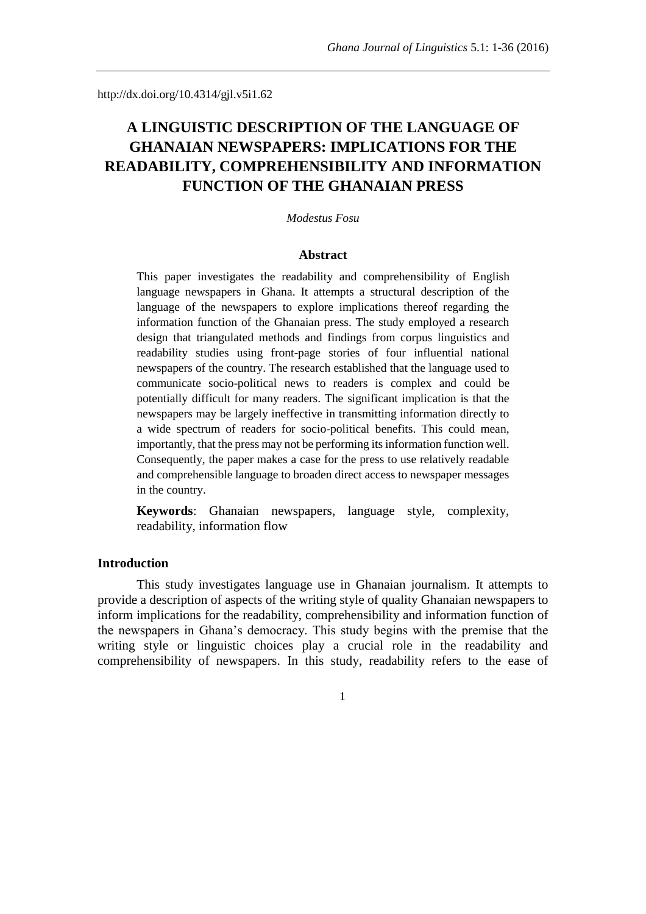http://dx.doi.org/10.4314/gjl.v5i1.62

# **A LINGUISTIC DESCRIPTION OF THE LANGUAGE OF GHANAIAN NEWSPAPERS: IMPLICATIONS FOR THE READABILITY, COMPREHENSIBILITY AND INFORMATION FUNCTION OF THE GHANAIAN PRESS**

#### *Modestus Fosu*

#### **Abstract**

This paper investigates the readability and comprehensibility of English language newspapers in Ghana. It attempts a structural description of the language of the newspapers to explore implications thereof regarding the information function of the Ghanaian press. The study employed a research design that triangulated methods and findings from corpus linguistics and readability studies using front-page stories of four influential national newspapers of the country. The research established that the language used to communicate socio-political news to readers is complex and could be potentially difficult for many readers. The significant implication is that the newspapers may be largely ineffective in transmitting information directly to a wide spectrum of readers for socio-political benefits. This could mean, importantly, that the press may not be performing its information function well. Consequently, the paper makes a case for the press to use relatively readable and comprehensible language to broaden direct access to newspaper messages in the country.

**Keywords**: Ghanaian newspapers, language style, complexity, readability, information flow

# **Introduction**

This study investigates language use in Ghanaian journalism. It attempts to provide a description of aspects of the writing style of quality Ghanaian newspapers to inform implications for the readability, comprehensibility and information function of the newspapers in Ghana's democracy. This study begins with the premise that the writing style or linguistic choices play a crucial role in the readability and comprehensibility of newspapers. In this study, readability refers to the ease of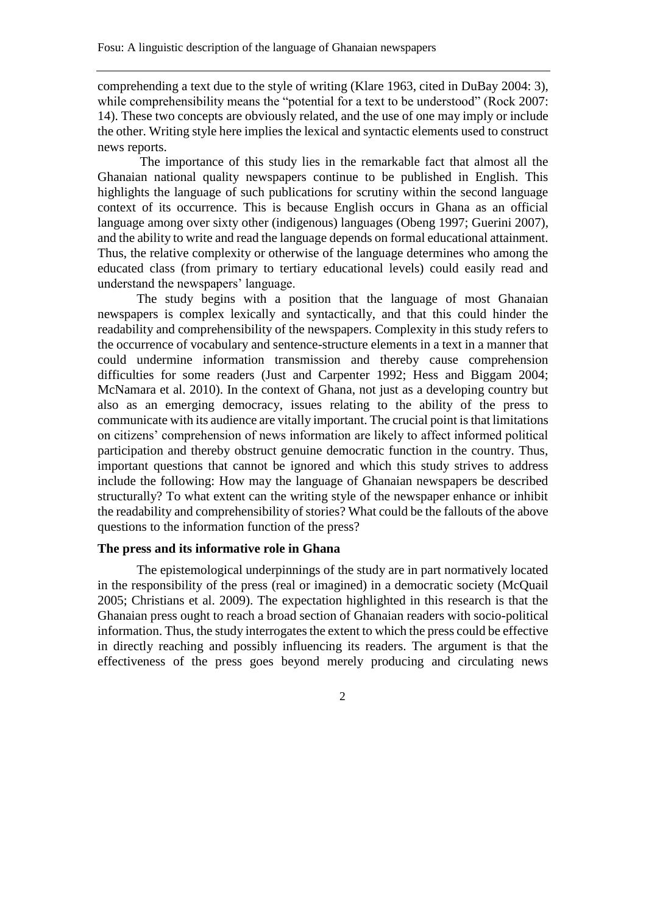comprehending a text due to the style of writing (Klare 1963, cited in DuBay 2004: 3), while comprehensibility means the "potential for a text to be understood" (Rock 2007: 14). These two concepts are obviously related, and the use of one may imply or include the other. Writing style here implies the lexical and syntactic elements used to construct news reports.

The importance of this study lies in the remarkable fact that almost all the Ghanaian national quality newspapers continue to be published in English. This highlights the language of such publications for scrutiny within the second language context of its occurrence. This is because English occurs in Ghana as an official language among over sixty other (indigenous) languages (Obeng 1997; Guerini 2007), and the ability to write and read the language depends on formal educational attainment. Thus, the relative complexity or otherwise of the language determines who among the educated class (from primary to tertiary educational levels) could easily read and understand the newspapers' language.

The study begins with a position that the language of most Ghanaian newspapers is complex lexically and syntactically, and that this could hinder the readability and comprehensibility of the newspapers. Complexity in this study refers to the occurrence of vocabulary and sentence-structure elements in a text in a manner that could undermine information transmission and thereby cause comprehension difficulties for some readers (Just and Carpenter 1992; Hess and Biggam 2004; McNamara et al. 2010). In the context of Ghana, not just as a developing country but also as an emerging democracy, issues relating to the ability of the press to communicate with its audience are vitally important. The crucial point is that limitations on citizens' comprehension of news information are likely to affect informed political participation and thereby obstruct genuine democratic function in the country. Thus, important questions that cannot be ignored and which this study strives to address include the following: How may the language of Ghanaian newspapers be described structurally? To what extent can the writing style of the newspaper enhance or inhibit the readability and comprehensibility of stories? What could be the fallouts of the above questions to the information function of the press?

#### **The press and its informative role in Ghana**

The epistemological underpinnings of the study are in part normatively located in the responsibility of the press (real or imagined) in a democratic society (McQuail 2005; Christians et al. 2009). The expectation highlighted in this research is that the Ghanaian press ought to reach a broad section of Ghanaian readers with socio-political information. Thus, the study interrogates the extent to which the press could be effective in directly reaching and possibly influencing its readers. The argument is that the effectiveness of the press goes beyond merely producing and circulating news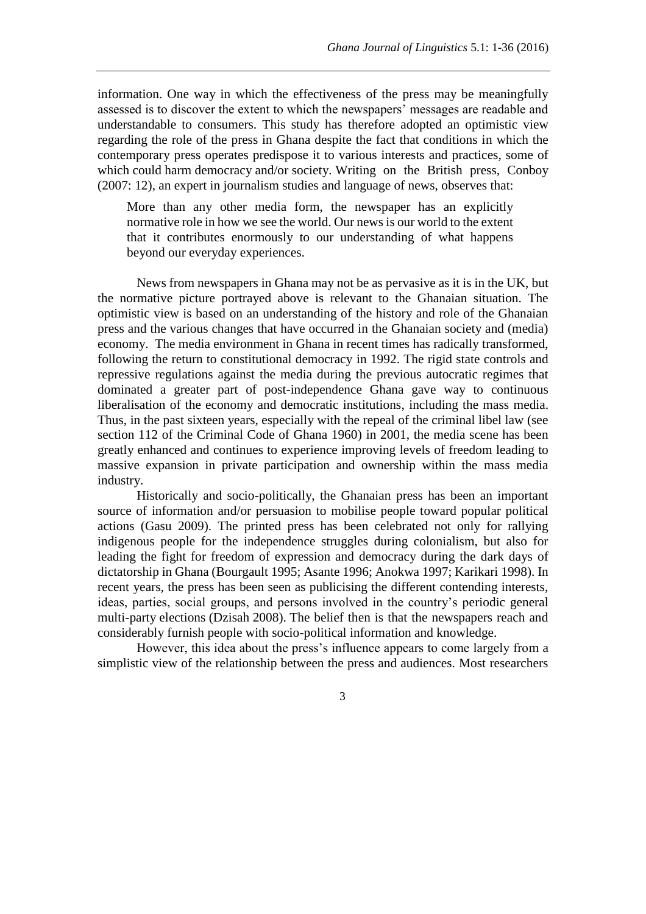information. One way in which the effectiveness of the press may be meaningfully assessed is to discover the extent to which the newspapers' messages are readable and understandable to consumers. This study has therefore adopted an optimistic view regarding the role of the press in Ghana despite the fact that conditions in which the contemporary press operates predispose it to various interests and practices, some of which could harm democracy and/or society. Writing on the British press, Conboy (2007: 12), an expert in journalism studies and language of news, observes that:

More than any other media form, the newspaper has an explicitly normative role in how we see the world. Our news is our world to the extent that it contributes enormously to our understanding of what happens beyond our everyday experiences.

News from newspapers in Ghana may not be as pervasive as it is in the UK, but the normative picture portrayed above is relevant to the Ghanaian situation. The optimistic view is based on an understanding of the history and role of the Ghanaian press and the various changes that have occurred in the Ghanaian society and (media) economy. The media environment in Ghana in recent times has radically transformed, following the return to constitutional democracy in 1992. The rigid state controls and repressive regulations against the media during the previous autocratic regimes that dominated a greater part of post-independence Ghana gave way to continuous liberalisation of the economy and democratic institutions, including the mass media. Thus, in the past sixteen years, especially with the repeal of the criminal libel law (see section 112 of the Criminal Code of Ghana 1960) in 2001, the media scene has been greatly enhanced and continues to experience improving levels of freedom leading to massive expansion in private participation and ownership within the mass media industry.

Historically and socio-politically, the Ghanaian press has been an important source of information and/or persuasion to mobilise people toward popular political actions (Gasu 2009). The printed press has been celebrated not only for rallying indigenous people for the independence struggles during colonialism, but also for leading the fight for freedom of expression and democracy during the dark days of dictatorship in Ghana (Bourgault 1995; Asante 1996; Anokwa 1997; Karikari 1998). In recent years, the press has been seen as publicising the different contending interests, ideas, parties, social groups, and persons involved in the country's periodic general multi-party elections (Dzisah 2008). The belief then is that the newspapers reach and considerably furnish people with socio-political information and knowledge.

However, this idea about the press's influence appears to come largely from a simplistic view of the relationship between the press and audiences. Most researchers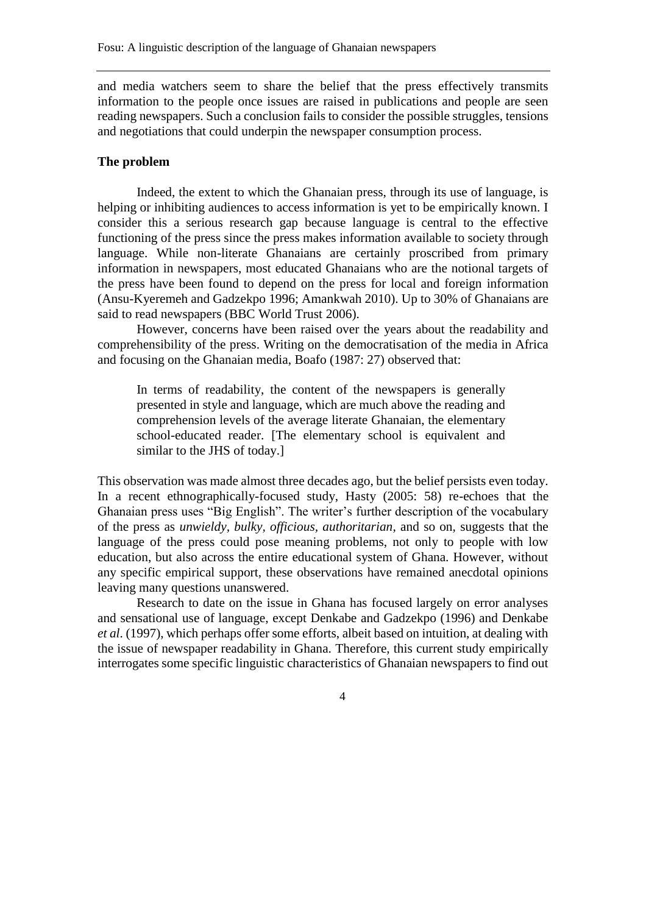and media watchers seem to share the belief that the press effectively transmits information to the people once issues are raised in publications and people are seen reading newspapers. Such a conclusion fails to consider the possible struggles, tensions and negotiations that could underpin the newspaper consumption process.

# **The problem**

Indeed, the extent to which the Ghanaian press, through its use of language, is helping or inhibiting audiences to access information is yet to be empirically known. I consider this a serious research gap because language is central to the effective functioning of the press since the press makes information available to society through language. While non-literate Ghanaians are certainly proscribed from primary information in newspapers, most educated Ghanaians who are the notional targets of the press have been found to depend on the press for local and foreign information (Ansu-Kyeremeh and Gadzekpo 1996; Amankwah 2010). Up to 30% of Ghanaians are said to read newspapers (BBC World Trust 2006).

However, concerns have been raised over the years about the readability and comprehensibility of the press. Writing on the democratisation of the media in Africa and focusing on the Ghanaian media, Boafo (1987: 27) observed that:

In terms of readability, the content of the newspapers is generally presented in style and language, which are much above the reading and comprehension levels of the average literate Ghanaian, the elementary school-educated reader. [The elementary school is equivalent and similar to the JHS of today.]

This observation was made almost three decades ago, but the belief persists even today. In a recent ethnographically-focused study, Hasty (2005: 58) re-echoes that the Ghanaian press uses "Big English". The writer's further description of the vocabulary of the press as *unwieldy, bulky, officious, authoritarian*, and so on, suggests that the language of the press could pose meaning problems, not only to people with low education, but also across the entire educational system of Ghana. However, without any specific empirical support, these observations have remained anecdotal opinions leaving many questions unanswered.

Research to date on the issue in Ghana has focused largely on error analyses and sensational use of language, except Denkabe and Gadzekpo (1996) and Denkabe *et al*. (1997), which perhaps offer some efforts, albeit based on intuition, at dealing with the issue of newspaper readability in Ghana. Therefore, this current study empirically interrogates some specific linguistic characteristics of Ghanaian newspapers to find out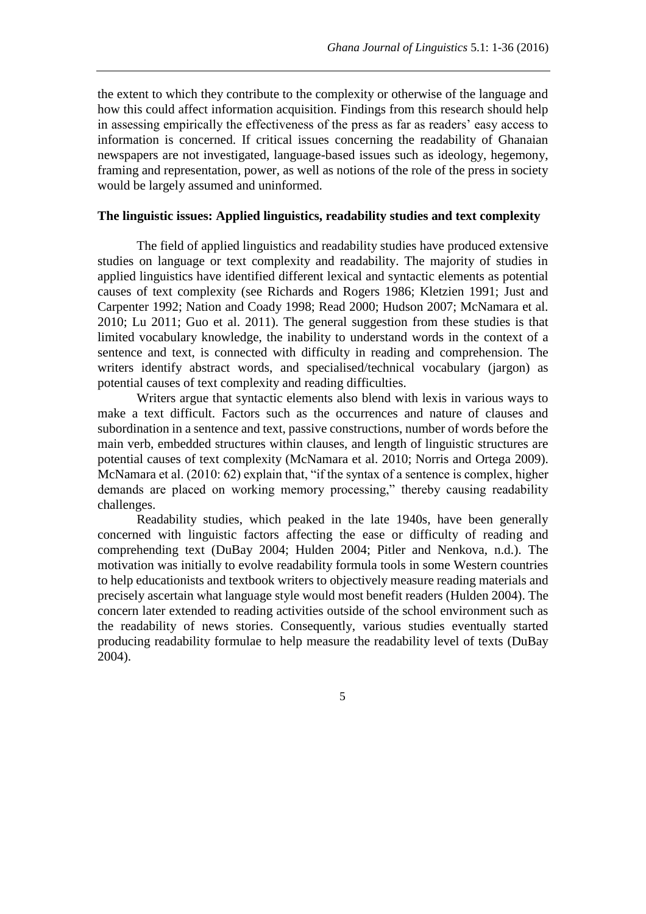the extent to which they contribute to the complexity or otherwise of the language and how this could affect information acquisition. Findings from this research should help in assessing empirically the effectiveness of the press as far as readers' easy access to information is concerned. If critical issues concerning the readability of Ghanaian newspapers are not investigated, language-based issues such as ideology, hegemony, framing and representation, power, as well as notions of the role of the press in society would be largely assumed and uninformed.

# **The linguistic issues: Applied linguistics, readability studies and text complexity**

The field of applied linguistics and readability studies have produced extensive studies on language or text complexity and readability. The majority of studies in applied linguistics have identified different lexical and syntactic elements as potential causes of text complexity (see Richards and Rogers 1986; Kletzien 1991; Just and Carpenter 1992; Nation and Coady 1998; Read 2000; Hudson 2007; McNamara et al. 2010; Lu 2011; Guo et al. 2011). The general suggestion from these studies is that limited vocabulary knowledge, the inability to understand words in the context of a sentence and text, is connected with difficulty in reading and comprehension. The writers identify abstract words, and specialised/technical vocabulary (jargon) as potential causes of text complexity and reading difficulties.

Writers argue that syntactic elements also blend with lexis in various ways to make a text difficult. Factors such as the occurrences and nature of clauses and subordination in a sentence and text, passive constructions, number of words before the main verb, embedded structures within clauses, and length of linguistic structures are potential causes of text complexity (McNamara et al. 2010; Norris and Ortega 2009). McNamara et al. (2010: 62) explain that, "if the syntax of a sentence is complex, higher demands are placed on working memory processing," thereby causing readability challenges.

Readability studies, which peaked in the late 1940s, have been generally concerned with linguistic factors affecting the ease or difficulty of reading and comprehending text (DuBay 2004; Hulden 2004; Pitler and Nenkova, n.d.). The motivation was initially to evolve readability formula tools in some Western countries to help educationists and textbook writers to objectively measure reading materials and precisely ascertain what language style would most benefit readers (Hulden 2004). The concern later extended to reading activities outside of the school environment such as the readability of news stories. Consequently, various studies eventually started producing readability formulae to help measure the readability level of texts (DuBay 2004).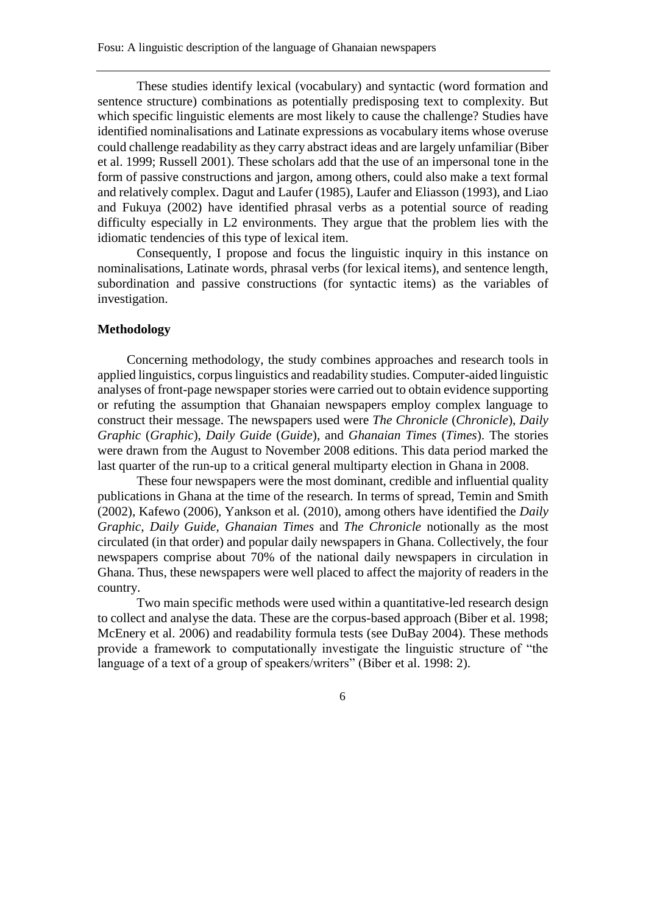These studies identify lexical (vocabulary) and syntactic (word formation and sentence structure) combinations as potentially predisposing text to complexity. But which specific linguistic elements are most likely to cause the challenge? Studies have identified nominalisations and Latinate expressions as vocabulary items whose overuse could challenge readability as they carry abstract ideas and are largely unfamiliar (Biber et al. 1999; Russell 2001). These scholars add that the use of an impersonal tone in the form of passive constructions and jargon, among others, could also make a text formal and relatively complex. Dagut and Laufer (1985), Laufer and Eliasson (1993), and Liao and Fukuya (2002) have identified phrasal verbs as a potential source of reading difficulty especially in L2 environments. They argue that the problem lies with the idiomatic tendencies of this type of lexical item.

Consequently, I propose and focus the linguistic inquiry in this instance on nominalisations, Latinate words, phrasal verbs (for lexical items), and sentence length, subordination and passive constructions (for syntactic items) as the variables of investigation.

# **Methodology**

Concerning methodology, the study combines approaches and research tools in applied linguistics, corpus linguistics and readability studies. Computer-aided linguistic analyses of front-page newspaper stories were carried out to obtain evidence supporting or refuting the assumption that Ghanaian newspapers employ complex language to construct their message. The newspapers used were *The Chronicle* (*Chronicle*), *Daily Graphic* (*Graphic*), *Daily Guide* (*Guide*), and *Ghanaian Times* (*Times*). The stories were drawn from the August to November 2008 editions. This data period marked the last quarter of the run-up to a critical general multiparty election in Ghana in 2008.

These four newspapers were the most dominant, credible and influential quality publications in Ghana at the time of the research. In terms of spread, Temin and Smith (2002), Kafewo (2006), Yankson et al*.* (2010), among others have identified the *Daily Graphic, Daily Guide, Ghanaian Times* and *The Chronicle* notionally as the most circulated (in that order) and popular daily newspapers in Ghana. Collectively, the four newspapers comprise about 70% of the national daily newspapers in circulation in Ghana. Thus, these newspapers were well placed to affect the majority of readers in the country.

Two main specific methods were used within a quantitative-led research design to collect and analyse the data. These are the corpus-based approach (Biber et al. 1998; McEnery et al. 2006) and readability formula tests (see DuBay 2004). These methods provide a framework to computationally investigate the linguistic structure of "the language of a text of a group of speakers/writers" (Biber et al. 1998: 2).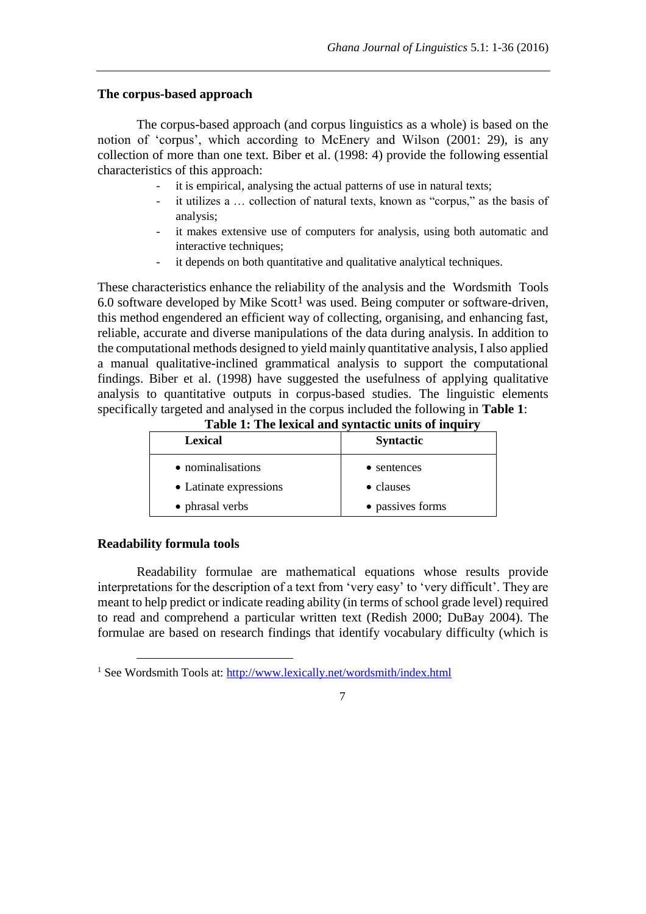## **The corpus-based approach**

The corpus-based approach (and corpus linguistics as a whole) is based on the notion of 'corpus', which according to McEnery and Wilson (2001: 29), is any collection of more than one text. Biber et al. (1998: 4) provide the following essential characteristics of this approach:

- it is empirical, analysing the actual patterns of use in natural texts;
- it utilizes a ... collection of natural texts, known as "corpus," as the basis of analysis;
- it makes extensive use of computers for analysis, using both automatic and interactive techniques;
- it depends on both quantitative and qualitative analytical techniques.

These characteristics enhance the reliability of the analysis and the Wordsmith Tools 6.0 software developed by Mike Scott<sup>1</sup> was used. Being computer or software-driven, this method engendered an efficient way of collecting, organising, and enhancing fast, reliable, accurate and diverse manipulations of the data during analysis. In addition to the computational methods designed to yield mainly quantitative analysis, I also applied a manual qualitative-inclined grammatical analysis to support the computational findings. Biber et al. (1998) have suggested the usefulness of applying qualitative analysis to quantitative outputs in corpus-based studies. The linguistic elements specifically targeted and analysed in the corpus included the following in **Table 1**:

| <b>Lexical</b>         | <b>Syntactic</b>  |
|------------------------|-------------------|
| • nominalisations      | • sentences       |
| • Latinate expressions | $\bullet$ clauses |
| • phrasal verbs        | • passives forms  |

## **Table 1: The lexical and syntactic units of inquiry**

## **Readability formula tools**

 $\overline{a}$ 

Readability formulae are mathematical equations whose results provide interpretations for the description of a text from 'very easy' to 'very difficult'. They are meant to help predict or indicate reading ability (in terms of school grade level) required to read and comprehend a particular written text (Redish 2000; DuBay 2004). The formulae are based on research findings that identify vocabulary difficulty (which is

<sup>1</sup> See Wordsmith Tools at:<http://www.lexically.net/wordsmith/index.html>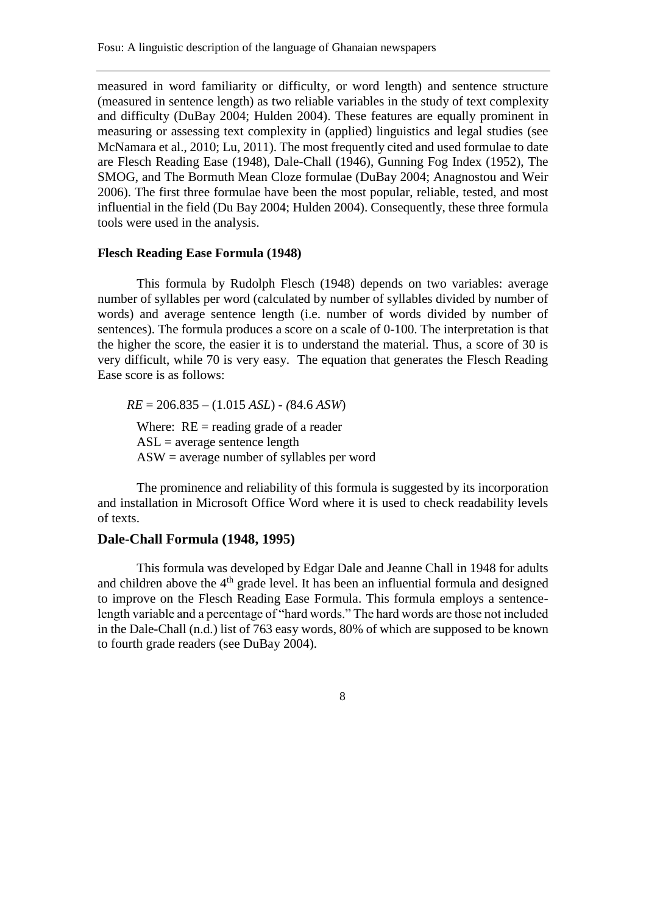measured in word familiarity or difficulty, or word length) and sentence structure (measured in sentence length) as two reliable variables in the study of text complexity and difficulty (DuBay 2004; Hulden 2004). These features are equally prominent in measuring or assessing text complexity in (applied) linguistics and legal studies (see McNamara et al., 2010; Lu, 2011). The most frequently cited and used formulae to date are Flesch Reading Ease (1948), Dale-Chall (1946), Gunning Fog Index (1952), The SMOG, and The Bormuth Mean Cloze formulae (DuBay 2004; Anagnostou and Weir 2006). The first three formulae have been the most popular, reliable, tested, and most influential in the field (Du Bay 2004; Hulden 2004). Consequently, these three formula tools were used in the analysis.

#### **Flesch Reading Ease Formula (1948)**

This formula by Rudolph Flesch (1948) depends on two variables: average number of syllables per word (calculated by number of syllables divided by number of words) and average sentence length (i.e. number of words divided by number of sentences). The formula produces a score on a scale of 0-100. The interpretation is that the higher the score, the easier it is to understand the material. Thus, a score of 30 is very difficult, while 70 is very easy. The equation that generates the Flesch Reading Ease score is as follows:

*RE* = 206.835 – (1.015 *ASL*) *- (*84.6 *ASW*) Where:  $RE = reading\ grade\ of\ a\ reader$  $ASL = average$  sentence length ASW = average number of syllables per word

The prominence and reliability of this formula is suggested by its incorporation and installation in Microsoft Office Word where it is used to check readability levels of texts.

#### **Dale-Chall Formula (1948, 1995)**

This formula was developed by Edgar Dale and Jeanne Chall in 1948 for adults and children above the  $4<sup>th</sup>$  grade level. It has been an influential formula and designed to improve on the Flesch Reading Ease Formula. This formula employs a sentencelength variable and a percentage of "hard words." The hard words are those not included in the Dale-Chall (n.d.) list of 763 easy words, 80% of which are supposed to be known to fourth grade readers (see DuBay 2004).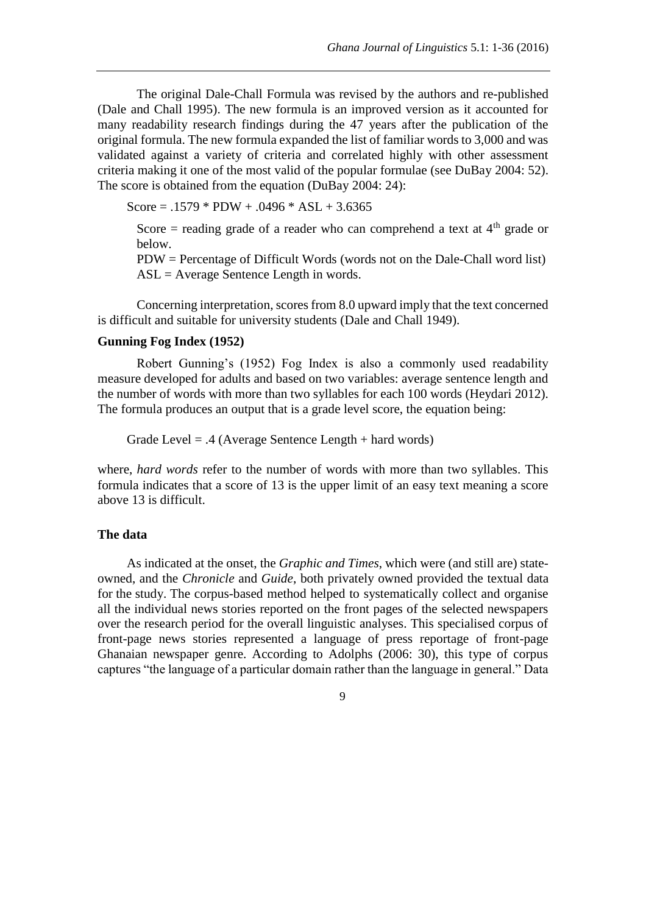The original Dale-Chall Formula was revised by the authors and re-published (Dale and Chall 1995). The new formula is an improved version as it accounted for many readability research findings during the 47 years after the publication of the original formula. The new formula expanded the list of familiar words to 3,000 and was validated against a variety of criteria and correlated highly with other assessment criteria making it one of the most valid of the popular formulae (see DuBay 2004: 52). The score is obtained from the equation (DuBay 2004: 24):

Score =  $.1579 * PDW + .0496 * ASL + 3.6365$ 

Score = reading grade of a reader who can comprehend a text at  $4<sup>th</sup>$  grade or below.

PDW = Percentage of Difficult Words (words not on the Dale-Chall word list) ASL = Average Sentence Length in words.

Concerning interpretation, scores from 8.0 upward imply that the text concerned is difficult and suitable for university students (Dale and Chall 1949).

#### **Gunning Fog Index (1952)**

Robert Gunning's (1952) Fog Index is also a commonly used readability measure developed for adults and based on two variables: average sentence length and the number of words with more than two syllables for each 100 words (Heydari 2012). The formula produces an output that is a grade level score, the equation being:

Grade Level = .4 (Average Sentence Length + hard words)

where, *hard words* refer to the number of words with more than two syllables. This formula indicates that a score of 13 is the upper limit of an easy text meaning a score above 13 is difficult.

## **The data**

As indicated at the onset, the *Graphic and Times*, which were (and still are) stateowned, and the *Chronicle* and *Guide*, both privately owned provided the textual data for the study. The corpus-based method helped to systematically collect and organise all the individual news stories reported on the front pages of the selected newspapers over the research period for the overall linguistic analyses. This specialised corpus of front-page news stories represented a language of press reportage of front-page Ghanaian newspaper genre. According to Adolphs (2006: 30), this type of corpus captures "the language of a particular domain rather than the language in general." Data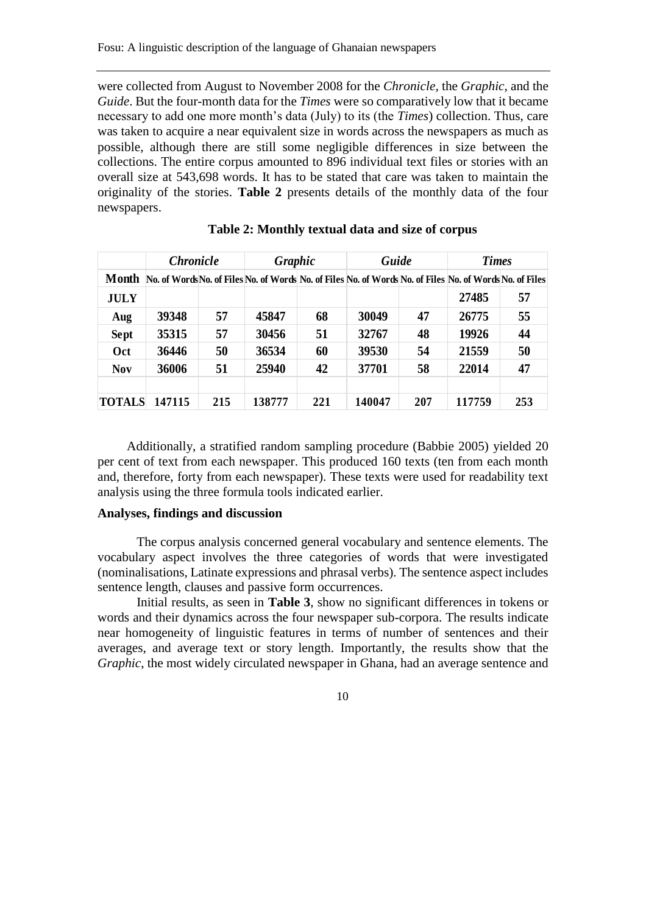were collected from August to November 2008 for the *Chronicle,* the *Graphic*, and the *Guide*. But the four-month data for the *Times* were so comparatively low that it became necessary to add one more month's data (July) to its (the *Times*) collection. Thus, care was taken to acquire a near equivalent size in words across the newspapers as much as possible, although there are still some negligible differences in size between the collections. The entire corpus amounted to 896 individual text files or stories with an overall size at 543,698 words. It has to be stated that care was taken to maintain the originality of the stories. **Table 2** presents details of the monthly data of the four newspapers.

|               | <i><b>Chronicle</b></i>                                                                                 |     | Graphic |     | Guide  |     | <b>Times</b> |     |
|---------------|---------------------------------------------------------------------------------------------------------|-----|---------|-----|--------|-----|--------------|-----|
|               | Month No. of WordsNo. of FilesNo. of Words No. of FilesNo. of WordsNo. of FilesNo. of WordsNo. of Files |     |         |     |        |     |              |     |
| <b>JULY</b>   |                                                                                                         |     |         |     |        |     | 27485        | 57  |
| Aug           | 39348                                                                                                   | 57  | 45847   | 68  | 30049  | 47  | 26775        | 55  |
| <b>Sept</b>   | 35315                                                                                                   | 57  | 30456   | 51  | 32767  | 48  | 19926        | 44  |
| <b>Oct</b>    | 36446                                                                                                   | 50  | 36534   | 60  | 39530  | 54  | 21559        | 50  |
| <b>Nov</b>    | 36006                                                                                                   | 51  | 25940   | 42  | 37701  | 58  | 22014        | 47  |
|               |                                                                                                         |     |         |     |        |     |              |     |
| <b>TOTALS</b> | 147115                                                                                                  | 215 | 138777  | 221 | 140047 | 207 | 117759       | 253 |

#### **Table 2: Monthly textual data and size of corpus**

Additionally, a stratified random sampling procedure (Babbie 2005) yielded 20 per cent of text from each newspaper. This produced 160 texts (ten from each month and, therefore, forty from each newspaper). These texts were used for readability text analysis using the three formula tools indicated earlier.

## **Analyses, findings and discussion**

The corpus analysis concerned general vocabulary and sentence elements. The vocabulary aspect involves the three categories of words that were investigated (nominalisations, Latinate expressions and phrasal verbs). The sentence aspect includes sentence length, clauses and passive form occurrences.

Initial results, as seen in **Table 3**, show no significant differences in tokens or words and their dynamics across the four newspaper sub-corpora. The results indicate near homogeneity of linguistic features in terms of number of sentences and their averages, and average text or story length. Importantly, the results show that the *Graphic*, the most widely circulated newspaper in Ghana, had an average sentence and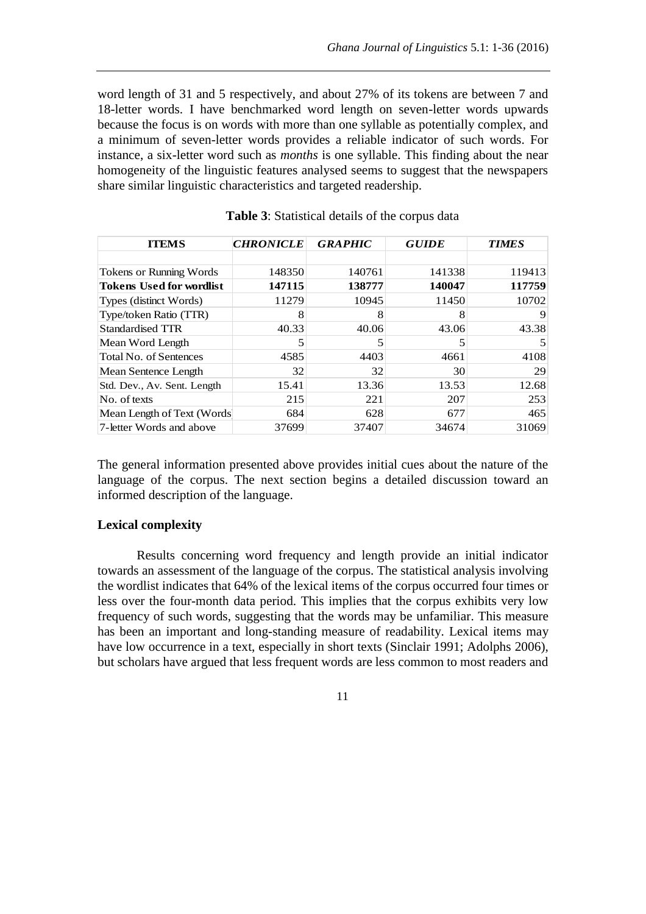word length of 31 and 5 respectively, and about 27% of its tokens are between 7 and 18-letter words. I have benchmarked word length on seven-letter words upwards because the focus is on words with more than one syllable as potentially complex, and a minimum of seven-letter words provides a reliable indicator of such words. For instance, a six-letter word such as *months* is one syllable. This finding about the near homogeneity of the linguistic features analysed seems to suggest that the newspapers share similar linguistic characteristics and targeted readership.

| <b>ITEMS</b>                    | <b>CHRONICLE</b><br><b>GRAPHIC</b> |        | <b>GUIDE</b> | <b>TIMES</b> |  |
|---------------------------------|------------------------------------|--------|--------------|--------------|--|
|                                 |                                    |        |              |              |  |
| <b>Tokens or Running Words</b>  | 148350                             | 140761 | 141338       | 119413       |  |
| <b>Tokens Used for wordlist</b> | 147115                             | 138777 | 140047       | 117759       |  |
| Types (distinct Words)          | 11279                              | 10945  | 11450        | 10702        |  |
| Type/token Ratio (TTR)          | 8                                  | 8      | 8            | 9            |  |
| Standardised TTR                | 40.33                              | 40.06  | 43.06        | 43.38        |  |
| Mean Word Length                |                                    |        | 5            | 5            |  |
| Total No. of Sentences          | 4585                               | 4403   | 4661         | 4108         |  |
| Mean Sentence Length            | 32                                 | 32     | 30           | 29           |  |
| Std. Dev., Av. Sent. Length     | 15.41                              | 13.36  | 13.53        | 12.68        |  |
| No. of texts                    | 215                                | 221    | 207          | 253          |  |
| Mean Length of Text (Words)     | 684                                | 628    | 677          | 465          |  |
| 7-letter Words and above        | 37699                              | 37407  | 34674        | 31069        |  |

**Table 3**: Statistical details of the corpus data

The general information presented above provides initial cues about the nature of the language of the corpus. The next section begins a detailed discussion toward an informed description of the language.

# **Lexical complexity**

Results concerning word frequency and length provide an initial indicator towards an assessment of the language of the corpus. The statistical analysis involving the wordlist indicates that 64% of the lexical items of the corpus occurred four times or less over the four-month data period. This implies that the corpus exhibits very low frequency of such words, suggesting that the words may be unfamiliar. This measure has been an important and long-standing measure of readability. Lexical items may have low occurrence in a text, especially in short texts (Sinclair 1991; Adolphs 2006), but scholars have argued that less frequent words are less common to most readers and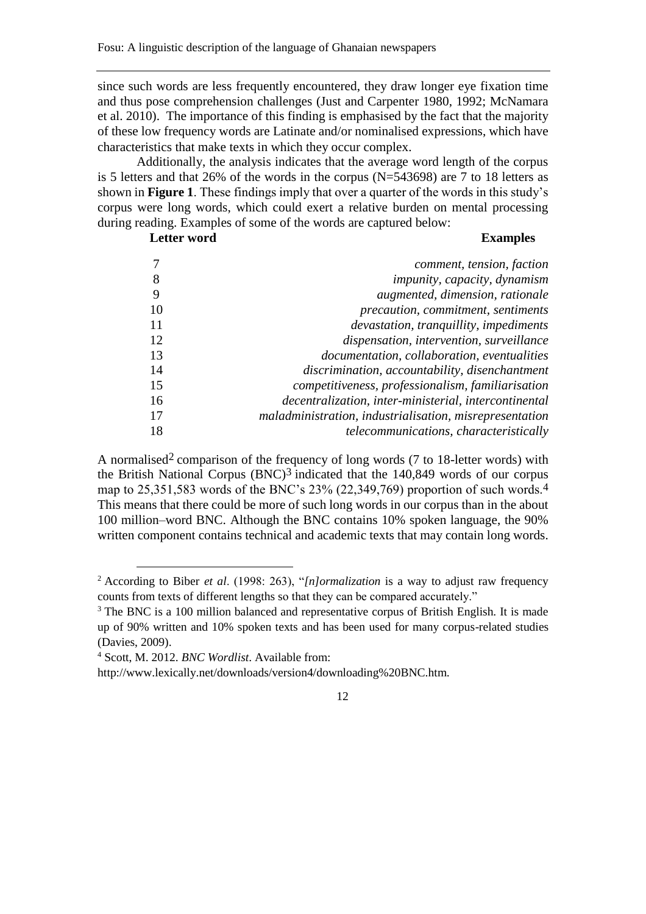since such words are less frequently encountered, they draw longer eye fixation time and thus pose comprehension challenges (Just and Carpenter 1980, 1992; McNamara et al. 2010). The importance of this finding is emphasised by the fact that the majority of these low frequency words are Latinate and/or nominalised expressions, which have characteristics that make texts in which they occur complex.

Additionally, the analysis indicates that the average word length of the corpus is 5 letters and that 26% of the words in the corpus (N=543698) are 7 to 18 letters as shown in **Figure 1**. These findings imply that over a quarter of the words in this study's corpus were long words, which could exert a relative burden on mental processing during reading. Examples of some of the words are captured below:<br>Letter word

| <b>Letter word</b> | <b>Examples</b>                                         |
|--------------------|---------------------------------------------------------|
|                    | comment, tension, faction                               |
| 8                  | <i>impunity, capacity, dynamism</i>                     |
| 9                  | augmented, dimension, rationale                         |
| 10                 | precaution, commitment, sentiments                      |
| 11                 | devastation, tranquillity, impediments                  |
| 12                 | dispensation, intervention, surveillance                |
| 13                 | documentation, collaboration, eventualities             |
| 14                 | discrimination, accountability, disenchantment          |
| 15                 | competitiveness, professionalism, familiarisation       |
| 16                 | decentralization, inter-ministerial, intercontinental   |
| 17                 | maladministration, industrialisation, misrepresentation |
| 18                 | telecommunications, characteristically                  |

A normalised2 comparison of the frequency of long words (7 to 18-letter words) with the British National Corpus  $(BNC)^3$  indicated that the 140,849 words of our corpus map to 25,351,583 words of the BNC's 23% (22,349,769) proportion of such words.4 This means that there could be more of such long words in our corpus than in the about 100 million–word BNC. Although the BNC contains 10% spoken language, the 90% written component contains technical and academic texts that may contain long words.

 $\overline{a}$ 

<sup>2</sup> According to Biber *et al*. (1998: 263), "*[n]ormalization* is a way to adjust raw frequency counts from texts of different lengths so that they can be compared accurately."

<sup>&</sup>lt;sup>3</sup> The BNC is a 100 million balanced and representative corpus of British English. It is made up of 90% written and 10% spoken texts and has been used for many corpus-related studies (Davies, 2009).

<sup>4</sup> Scott, M. 2012. *BNC Wordlist*. Available from:

http://www.lexically.net/downloads/version4/downloading%20BNC.htm.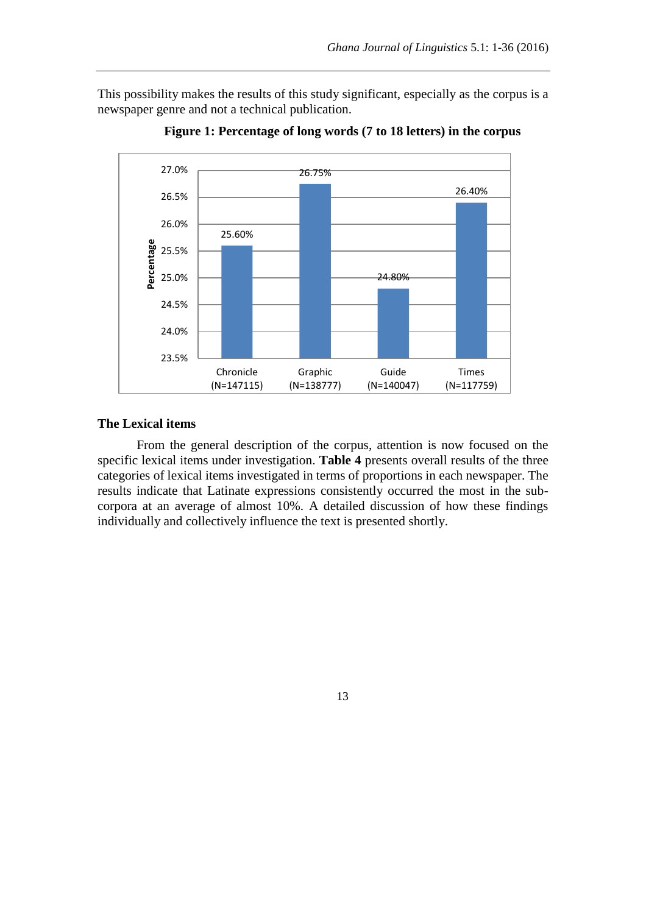This possibility makes the results of this study significant, especially as the corpus is a newspaper genre and not a technical publication.



**Figure 1: Percentage of long words (7 to 18 letters) in the corpus**

# **The Lexical items**

From the general description of the corpus, attention is now focused on the specific lexical items under investigation. **Table 4** presents overall results of the three categories of lexical items investigated in terms of proportions in each newspaper. The results indicate that Latinate expressions consistently occurred the most in the subcorpora at an average of almost 10%. A detailed discussion of how these findings individually and collectively influence the text is presented shortly.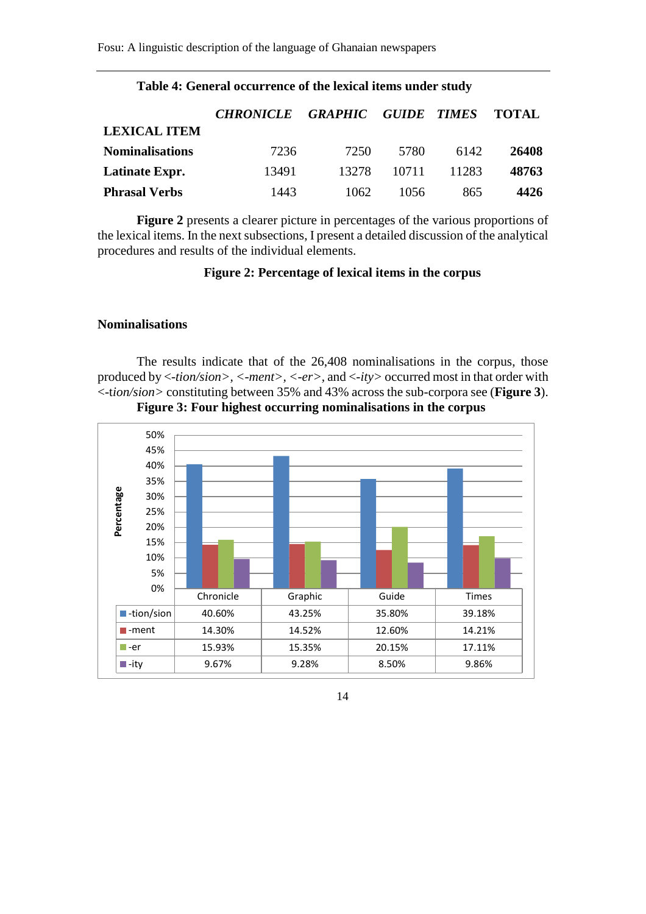|                        | CHRONICLE GRAPHIC GUIDE TIMES TOTAL |       |       |       |       |
|------------------------|-------------------------------------|-------|-------|-------|-------|
| <b>LEXICAL ITEM</b>    |                                     |       |       |       |       |
| <b>Nominalisations</b> | 7236                                | 7250  | 5780  | 6142  | 26408 |
| <b>Latinate Expr.</b>  | 13491                               | 13278 | 10711 | 11283 | 48763 |
| <b>Phrasal Verbs</b>   | 1443                                | 1062  | 1056  | 865   | 4426  |

# **Table 4: General occurrence of the lexical items under study**

**Figure 2** presents a clearer picture in percentages of the various proportions of the lexical items. In the next subsections, I present a detailed discussion of the analytical procedures and results of the individual elements.

# **Figure 2: Percentage of lexical items in the corpus**

## **Nominalisations**

The results indicate that of the 26,408 nominalisations in the corpus, those produced by <*-tion/sion>, <-ment>, <-er>,* and <*-ity>* occurred most in that order with <-t*ion/sion>* constituting between 35% and 43% across the sub-corpora see (**Figure 3**).



**Figure 3: Four highest occurring nominalisations in the corpus**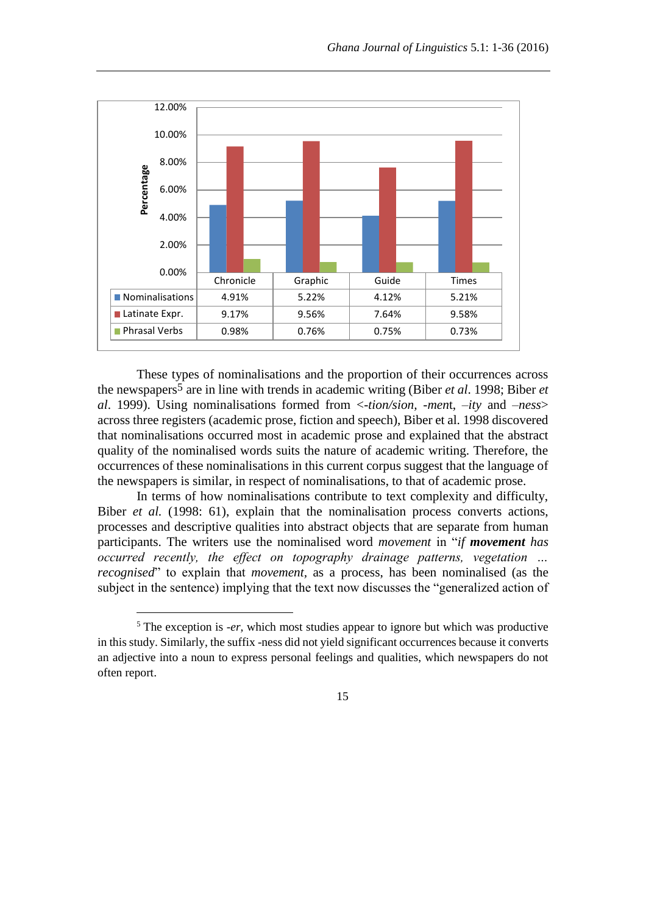

These types of nominalisations and the proportion of their occurrences across the newspapers5 are in line with trends in academic writing (Biber *et al*. 1998; Biber *et al*. 1999). Using nominalisations formed from <*-tion/sion, -men*t, –*ity* and *–ness*> across three registers (academic prose, fiction and speech), Biber et al. 1998 discovered that nominalisations occurred most in academic prose and explained that the abstract quality of the nominalised words suits the nature of academic writing. Therefore, the occurrences of these nominalisations in this current corpus suggest that the language of the newspapers is similar, in respect of nominalisations, to that of academic prose.

In terms of how nominalisations contribute to text complexity and difficulty, Biber *et al.* (1998: 61), explain that the nominalisation process converts actions, processes and descriptive qualities into abstract objects that are separate from human participants. The writers use the nominalised word *movement* in "*if movement has occurred recently, the effect on topography drainage patterns, vegetation … recognised*" to explain that *movement,* as a process, has been nominalised (as the subject in the sentence) implying that the text now discusses the "generalized action of

 $\overline{a}$ 

<sup>5</sup> The exception is *-er,* which most studies appear to ignore but which was productive in this study. Similarly, the suffix -ness did not yield significant occurrences because it converts an adjective into a noun to express personal feelings and qualities, which newspapers do not often report.

<sup>15</sup>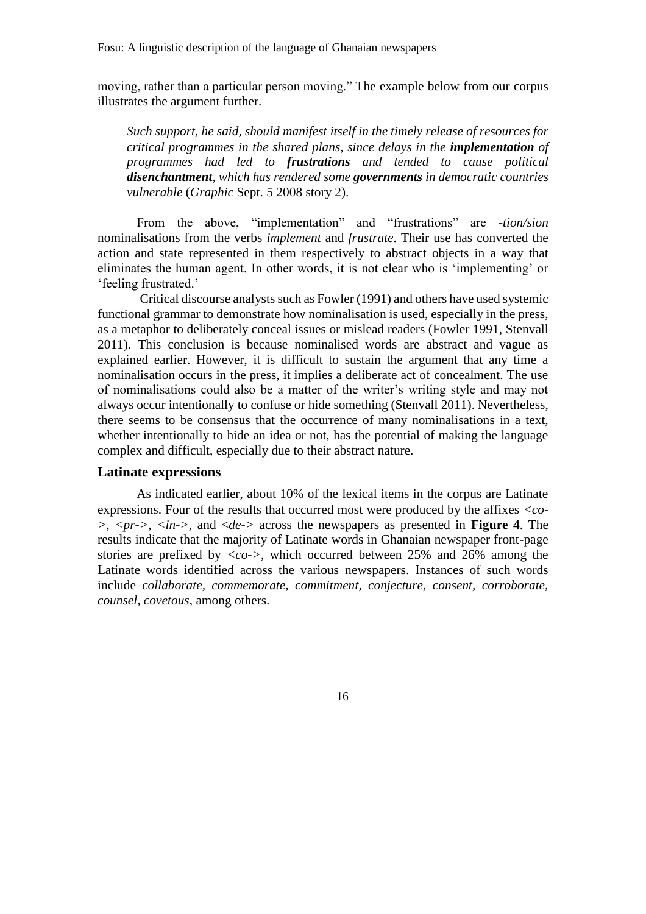moving, rather than a particular person moving." The example below from our corpus illustrates the argument further.

*Such support, he said, should manifest itself in the timely release of resources for critical programmes in the shared plans, since delays in the <i>implementation* of *programmes had led to frustrations and tended to cause political disenchantment, which has rendered some governments in democratic countries vulnerable* (*Graphic* Sept. 5 2008 story 2).

From the above, "implementation" and "frustrations" are *-tion/sion*  nominalisations from the verbs *implement* and *frustrate*. Their use has converted the action and state represented in them respectively to abstract objects in a way that eliminates the human agent. In other words, it is not clear who is 'implementing' or 'feeling frustrated.'

Critical discourse analysts such as Fowler (1991) and others have used systemic functional grammar to demonstrate how nominalisation is used, especially in the press, as a metaphor to deliberately conceal issues or mislead readers (Fowler 1991, Stenvall 2011). This conclusion is because nominalised words are abstract and vague as explained earlier. However, it is difficult to sustain the argument that any time a nominalisation occurs in the press, it implies a deliberate act of concealment. The use of nominalisations could also be a matter of the writer's writing style and may not always occur intentionally to confuse or hide something (Stenvall 2011). Nevertheless, there seems to be consensus that the occurrence of many nominalisations in a text, whether intentionally to hide an idea or not, has the potential of making the language complex and difficult, especially due to their abstract nature.

### **Latinate expressions**

As indicated earlier, about 10% of the lexical items in the corpus are Latinate expressions. Four of the results that occurred most were produced by the affixes *<co- >, <pr->, <in->,* and <*de->* across the newspapers as presented in **Figure 4**. The results indicate that the majority of Latinate words in Ghanaian newspaper front-page stories are prefixed by *<co->*, which occurred between 25% and 26% among the Latinate words identified across the various newspapers. Instances of such words include *collaborate, commemorate, commitment, conjecture, consent, corroborate, counsel, covetous*, among others.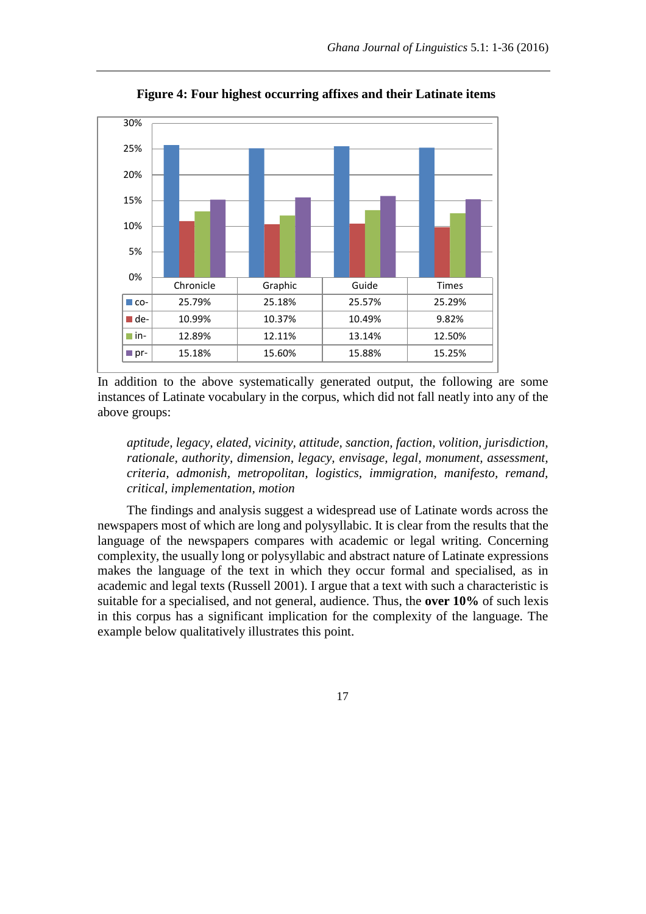

**Figure 4: Four highest occurring affixes and their Latinate items**

In addition to the above systematically generated output, the following are some instances of Latinate vocabulary in the corpus, which did not fall neatly into any of the above groups:

*aptitude, legacy, elated, vicinity, attitude, sanction, faction, volition, jurisdiction, rationale, authority, dimension, legacy, envisage, legal, monument, assessment, criteria, admonish, metropolitan, logistics, immigration, manifesto, remand, critical, implementation, motion*

The findings and analysis suggest a widespread use of Latinate words across the newspapers most of which are long and polysyllabic. It is clear from the results that the language of the newspapers compares with academic or legal writing. Concerning complexity, the usually long or polysyllabic and abstract nature of Latinate expressions makes the language of the text in which they occur formal and specialised, as in academic and legal texts (Russell 2001). I argue that a text with such a characteristic is suitable for a specialised, and not general, audience. Thus, the **over 10%** of such lexis in this corpus has a significant implication for the complexity of the language. The example below qualitatively illustrates this point.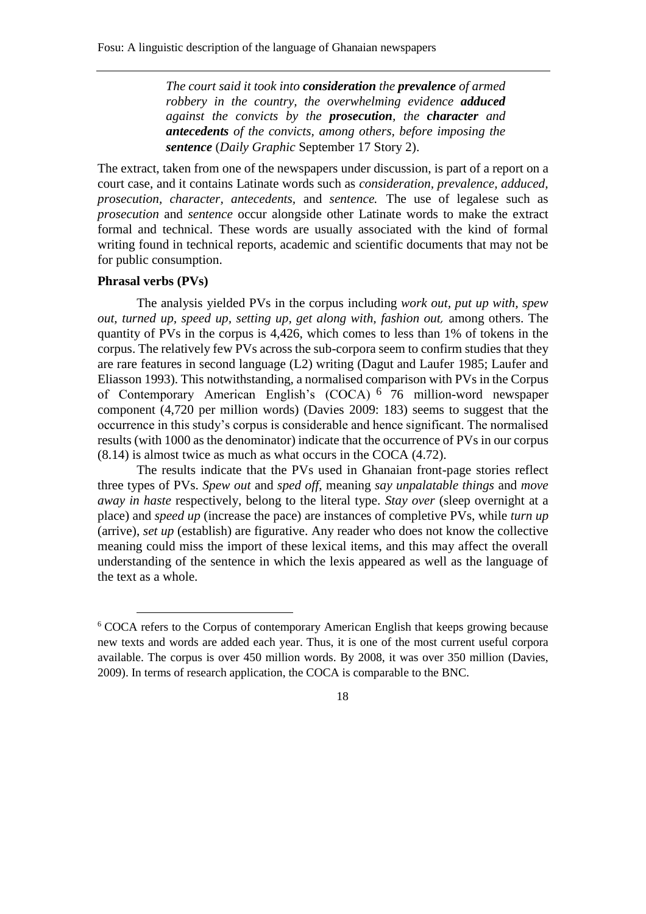*The court said it took into consideration the prevalence of armed robbery in the country, the overwhelming evidence adduced against the convicts by the prosecution, the character and antecedents of the convicts, among others, before imposing the sentence* (*Daily Graphic* September 17 Story 2).

The extract, taken from one of the newspapers under discussion, is part of a report on a court case, and it contains Latinate words such as *consideration, prevalence, adduced, prosecution, character, antecedents,* and *sentence.* The use of legalese such as *prosecution* and *sentence* occur alongside other Latinate words to make the extract formal and technical. These words are usually associated with the kind of formal writing found in technical reports, academic and scientific documents that may not be for public consumption.

## **Phrasal verbs (PVs)**

 $\overline{a}$ 

The analysis yielded PVs in the corpus including *work out, put up with, spew out, turned up, speed up, setting up, get along with, fashion out,* among others. The quantity of PVs in the corpus is 4,426, which comes to less than 1% of tokens in the corpus. The relatively few PVs across the sub-corpora seem to confirm studies that they are rare features in second language (L2) writing (Dagut and Laufer 1985; Laufer and Eliasson 1993). This notwithstanding, a normalised comparison with PVs in the Corpus of Contemporary American English's (COCA) 6 76 million-word newspaper component (4,720 per million words) (Davies 2009: 183) seems to suggest that the occurrence in this study's corpus is considerable and hence significant. The normalised results (with 1000 as the denominator) indicate that the occurrence of PVs in our corpus (8.14) is almost twice as much as what occurs in the COCA (4.72).

The results indicate that the PVs used in Ghanaian front-page stories reflect three types of PVs. *Spew out* and *sped off*, meaning *say unpalatable things* and *move away in haste* respectively, belong to the literal type. *Stay over* (sleep overnight at a place) and *speed up* (increase the pace) are instances of completive PVs, while *turn up* (arrive), *set up* (establish) are figurative. Any reader who does not know the collective meaning could miss the import of these lexical items, and this may affect the overall understanding of the sentence in which the lexis appeared as well as the language of the text as a whole.

<sup>6</sup> COCA refers to the Corpus of contemporary American English that keeps growing because new texts and words are added each year. Thus, it is one of the most current useful corpora available. The corpus is over 450 million words. By 2008, it was over 350 million (Davies, 2009). In terms of research application, the COCA is comparable to the BNC.

<sup>18</sup>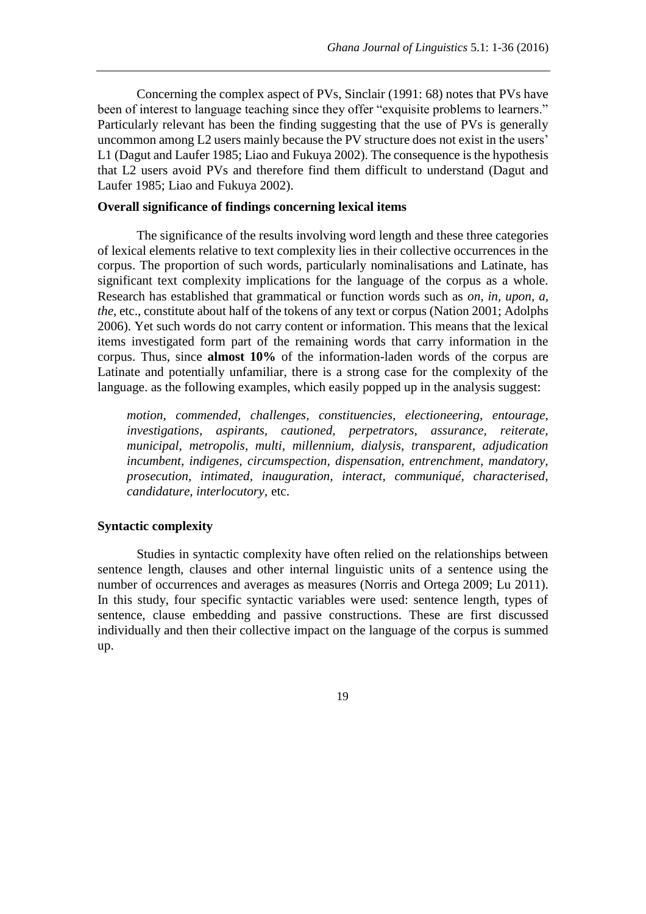Concerning the complex aspect of PVs, Sinclair (1991: 68) notes that PVs have been of interest to language teaching since they offer "exquisite problems to learners." Particularly relevant has been the finding suggesting that the use of PVs is generally uncommon among L2 users mainly because the PV structure does not exist in the users' L1 (Dagut and Laufer 1985; Liao and Fukuya 2002). The consequence is the hypothesis that L2 users avoid PVs and therefore find them difficult to understand (Dagut and Laufer 1985; Liao and Fukuya 2002).

# **Overall significance of findings concerning lexical items**

The significance of the results involving word length and these three categories of lexical elements relative to text complexity lies in their collective occurrences in the corpus. The proportion of such words, particularly nominalisations and Latinate, has significant text complexity implications for the language of the corpus as a whole. Research has established that grammatical or function words such as *on, in, upon, a, the*, etc., constitute about half of the tokens of any text or corpus (Nation 2001; Adolphs 2006). Yet such words do not carry content or information. This means that the lexical items investigated form part of the remaining words that carry information in the corpus. Thus, since **almost 10%** of the information-laden words of the corpus are Latinate and potentially unfamiliar, there is a strong case for the complexity of the language. as the following examples, which easily popped up in the analysis suggest:

*motion, commended, challenges, constituencies, electioneering, entourage, investigations, aspirants, cautioned, perpetrators, assurance, reiterate, municipal, metropolis, multi, millennium, dialysis, transparent, adjudication incumbent, indigenes, circumspection, dispensation, entrenchment, mandatory, prosecution, intimated, inauguration, interact, communiqué, characterised, candidature, interlocutory,* etc.

## **Syntactic complexity**

Studies in syntactic complexity have often relied on the relationships between sentence length, clauses and other internal linguistic units of a sentence using the number of occurrences and averages as measures (Norris and Ortega 2009; Lu 2011). In this study, four specific syntactic variables were used: sentence length, types of sentence, clause embedding and passive constructions. These are first discussed individually and then their collective impact on the language of the corpus is summed up.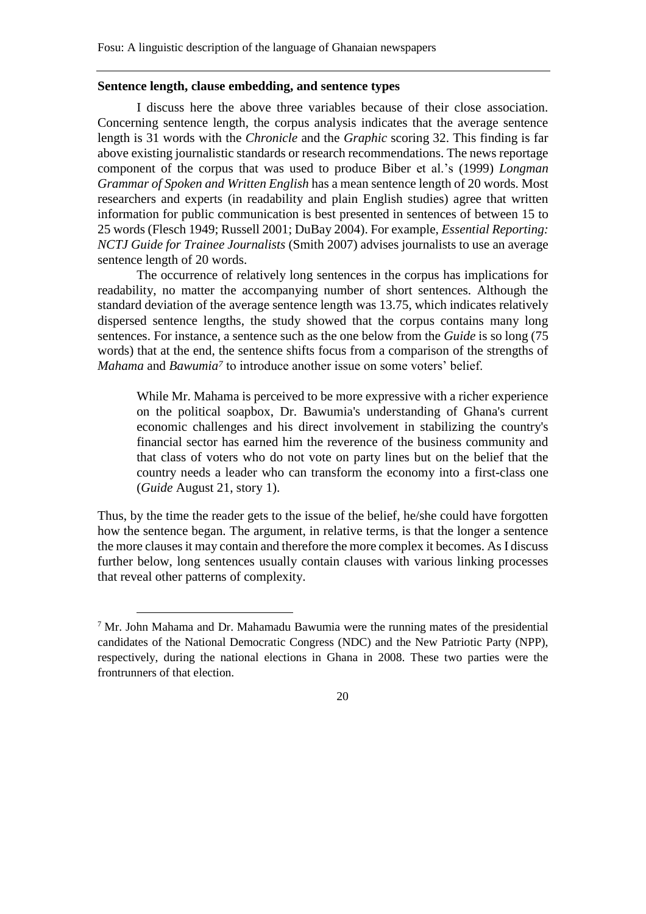# **Sentence length, clause embedding, and sentence types**

I discuss here the above three variables because of their close association. Concerning sentence length, the corpus analysis indicates that the average sentence length is 31 words with the *Chronicle* and the *Graphic* scoring 32. This finding is far above existing journalistic standards or research recommendations. The news reportage component of the corpus that was used to produce Biber et al.'s (1999) *Longman Grammar of Spoken and Written English* has a mean sentence length of 20 words*.* Most researchers and experts (in readability and plain English studies) agree that written information for public communication is best presented in sentences of between 15 to 25 words (Flesch 1949; Russell 2001; DuBay 2004). For example, *Essential Reporting: NCTJ Guide for Trainee Journalists* (Smith 2007) advises journalists to use an average sentence length of 20 words.

The occurrence of relatively long sentences in the corpus has implications for readability, no matter the accompanying number of short sentences. Although the standard deviation of the average sentence length was 13.75, which indicates relatively dispersed sentence lengths, the study showed that the corpus contains many long sentences. For instance, a sentence such as the one below from the *Guide* is so long (75 words) that at the end, the sentence shifts focus from a comparison of the strengths of *Mahama* and *Bawumia<sup>7</sup>* to introduce another issue on some voters' belief.

While Mr. Mahama is perceived to be more expressive with a richer experience on the political soapbox, Dr. Bawumia's understanding of Ghana's current economic challenges and his direct involvement in stabilizing the country's financial sector has earned him the reverence of the business community and that class of voters who do not vote on party lines but on the belief that the country needs a leader who can transform the economy into a first-class one (*Guide* August 21, story 1).

Thus, by the time the reader gets to the issue of the belief, he/she could have forgotten how the sentence began. The argument, in relative terms, is that the longer a sentence the more clauses it may contain and therefore the more complex it becomes. As I discuss further below, long sentences usually contain clauses with various linking processes that reveal other patterns of complexity.

 $\overline{a}$ 

<sup>7</sup> Mr. John Mahama and Dr. Mahamadu Bawumia were the running mates of the presidential candidates of the National Democratic Congress (NDC) and the New Patriotic Party (NPP), respectively, during the national elections in Ghana in 2008. These two parties were the frontrunners of that election.

<sup>20</sup>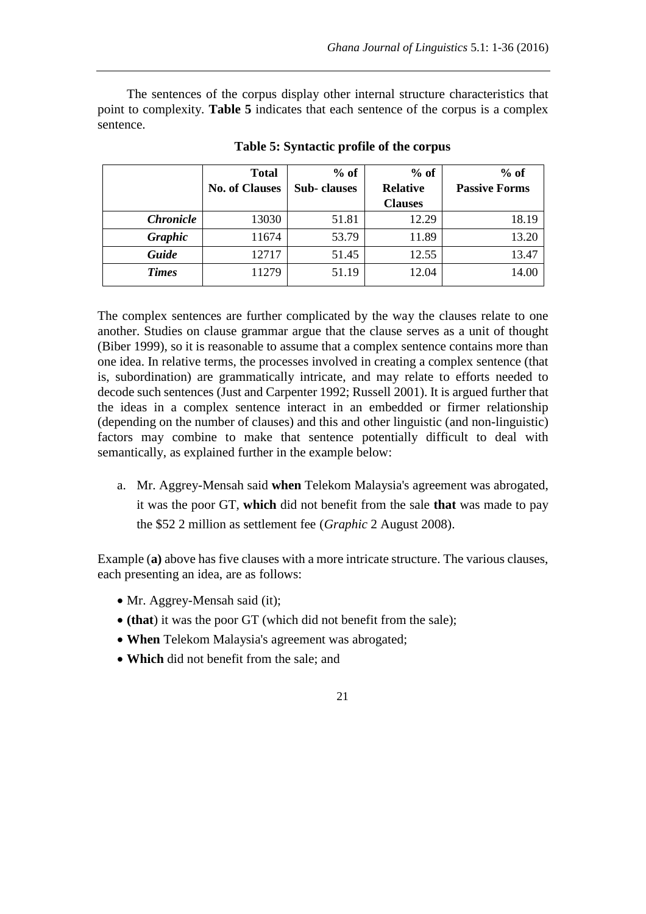The sentences of the corpus display other internal structure characteristics that point to complexity. **Table 5** indicates that each sentence of the corpus is a complex sentence.

|                  | <b>Total</b>          | $%$ of             | $%$ of          | $%$ of               |
|------------------|-----------------------|--------------------|-----------------|----------------------|
|                  | <b>No. of Clauses</b> | <b>Sub-clauses</b> | <b>Relative</b> | <b>Passive Forms</b> |
|                  |                       |                    | <b>Clauses</b>  |                      |
| <b>Chronicle</b> | 13030                 | 51.81              | 12.29           | 18.19                |
| <b>Graphic</b>   | 11674                 | 53.79              | 11.89           | 13.20                |
| Guide            | 12717                 | 51.45              | 12.55           | 13.47                |
| <b>Times</b>     | 11279                 | 51.19              | 12.04           | 14.00                |

**Table 5: Syntactic profile of the corpus**

The complex sentences are further complicated by the way the clauses relate to one another. Studies on clause grammar argue that the clause serves as a unit of thought (Biber 1999), so it is reasonable to assume that a complex sentence contains more than one idea. In relative terms, the processes involved in creating a complex sentence (that is, subordination) are grammatically intricate, and may relate to efforts needed to decode such sentences (Just and Carpenter 1992; Russell 2001). It is argued further that the ideas in a complex sentence interact in an embedded or firmer relationship (depending on the number of clauses) and this and other linguistic (and non-linguistic) factors may combine to make that sentence potentially difficult to deal with semantically, as explained further in the example below:

a. Mr. Aggrey-Mensah said **when** Telekom Malaysia's agreement was abrogated, it was the poor GT, **which** did not benefit from the sale **that** was made to pay the \$52 2 million as settlement fee (*Graphic* 2 August 2008).

Example (**a)** above has five clauses with a more intricate structure. The various clauses, each presenting an idea, are as follows:

- Mr. Aggrey-Mensah said (it);
- **(that**) it was the poor GT (which did not benefit from the sale);
- **When** Telekom Malaysia's agreement was abrogated;
- **Which** did not benefit from the sale; and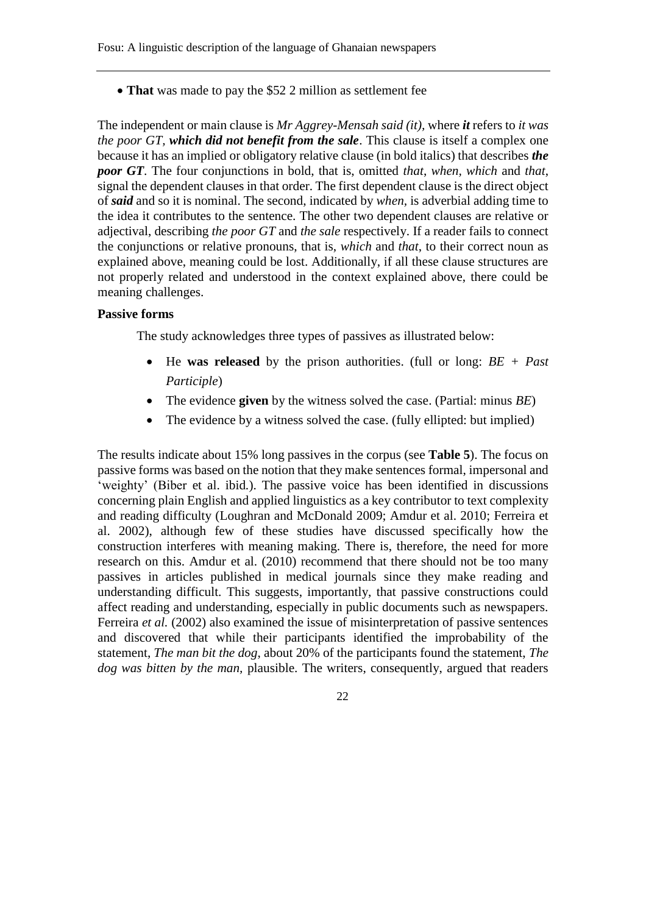• **That** was made to pay the \$52 2 million as settlement fee

The independent or main clause is *Mr Aggrey-Mensah said (it),* where *it* refers to *it was the poor GT, which did not benefit from the sale*. This clause is itself a complex one because it has an implied or obligatory relative clause (in bold italics) that describes *the poor GT*. The four conjunctions in bold, that is, omitted *that*, *when, which* and *that*, signal the dependent clauses in that order. The first dependent clause is the direct object of *said* and so it is nominal. The second, indicated by *when,* is adverbial adding time to the idea it contributes to the sentence. The other two dependent clauses are relative or adjectival, describing *the poor GT* and *the sale* respectively. If a reader fails to connect the conjunctions or relative pronouns, that is, *which* and *that*, to their correct noun as explained above, meaning could be lost. Additionally, if all these clause structures are not properly related and understood in the context explained above, there could be meaning challenges.

#### **Passive forms**

The study acknowledges three types of passives as illustrated below:

- He **was released** by the prison authorities. (full or long: *BE + Past Participle*)
- The evidence **given** by the witness solved the case. (Partial: minus *BE*)
- The evidence by a witness solved the case. (fully ellipted: but implied)

The results indicate about 15% long passives in the corpus (see **Table 5**). The focus on passive forms was based on the notion that they make sentences formal, impersonal and 'weighty' (Biber et al. ibid*.*). The passive voice has been identified in discussions concerning plain English and applied linguistics as a key contributor to text complexity and reading difficulty (Loughran and McDonald 2009; Amdur et al. 2010; Ferreira et al. 2002), although few of these studies have discussed specifically how the construction interferes with meaning making. There is, therefore, the need for more research on this. Amdur et al. (2010) recommend that there should not be too many passives in articles published in medical journals since they make reading and understanding difficult. This suggests, importantly, that passive constructions could affect reading and understanding, especially in public documents such as newspapers. Ferreira *et al.* (2002) also examined the issue of misinterpretation of passive sentences and discovered that while their participants identified the improbability of the statement, *The man bit the dog*, about 20% of the participants found the statement, *The dog was bitten by the man,* plausible. The writers, consequently, argued that readers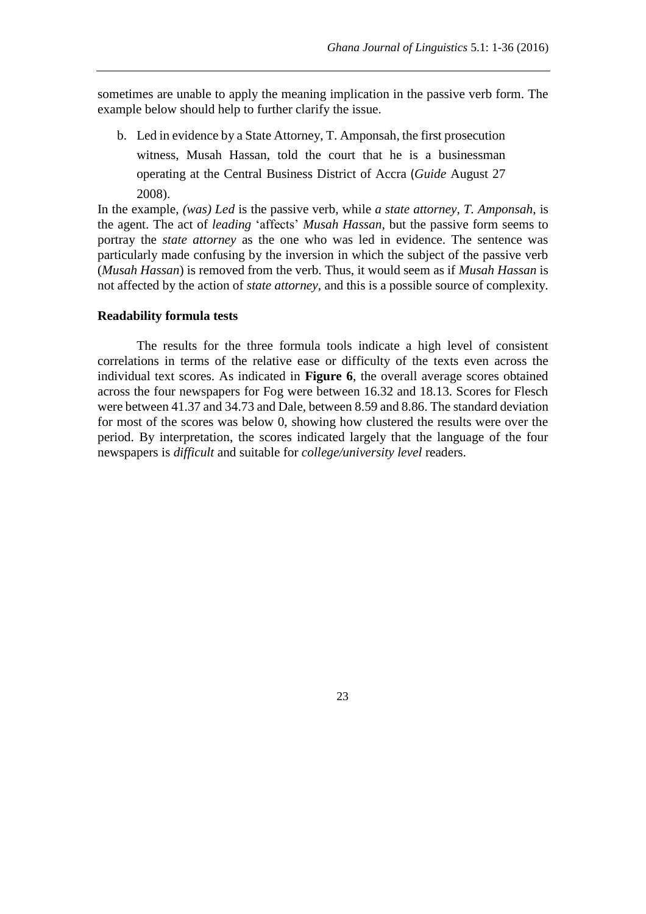sometimes are unable to apply the meaning implication in the passive verb form. The example below should help to further clarify the issue.

b. Led in evidence by a State Attorney, T. Amponsah, the first prosecution witness, Musah Hassan, told the court that he is a businessman operating at the Central Business District of Accra (*Guide* August 27 2008).

In the example, *(was) Led* is the passive verb, while *a state attorney, T. Amponsah*, is the agent. The act of *leading* 'affects' *Musah Hassan*, but the passive form seems to portray the *state attorney* as the one who was led in evidence. The sentence was particularly made confusing by the inversion in which the subject of the passive verb (*Musah Hassan*) is removed from the verb. Thus, it would seem as if *Musah Hassan* is not affected by the action of *state attorney*, and this is a possible source of complexity.

#### **Readability formula tests**

The results for the three formula tools indicate a high level of consistent correlations in terms of the relative ease or difficulty of the texts even across the individual text scores. As indicated in **Figure 6**, the overall average scores obtained across the four newspapers for Fog were between 16.32 and 18.13. Scores for Flesch were between 41.37 and 34.73 and Dale, between 8.59 and 8.86. The standard deviation for most of the scores was below 0, showing how clustered the results were over the period. By interpretation, the scores indicated largely that the language of the four newspapers is *difficult* and suitable for *college/university level* readers.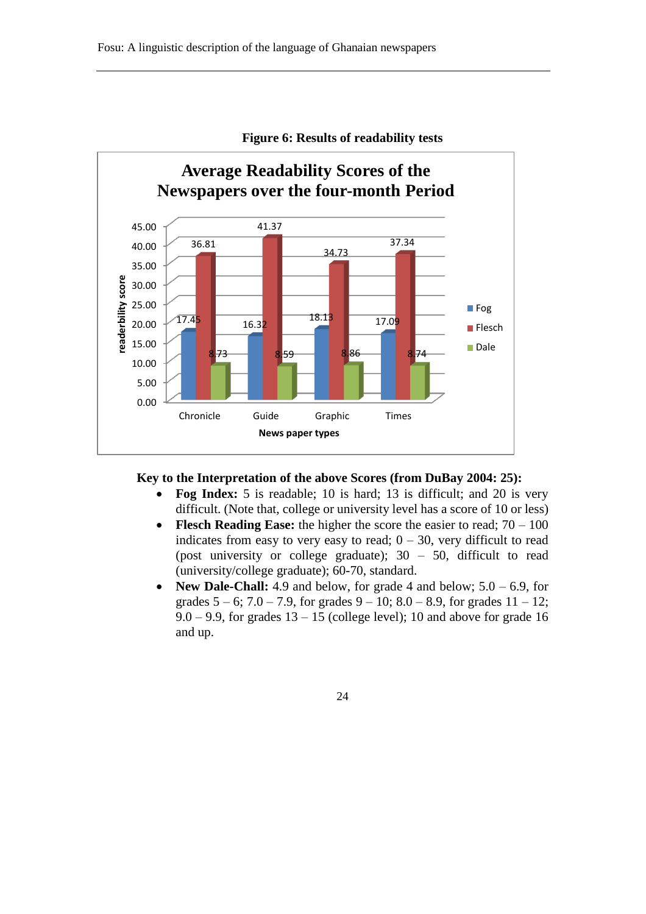

**Figure 6: Results of readability tests**

## **Key to the Interpretation of the above Scores (from DuBay 2004: 25):**

- Fog Index: 5 is readable; 10 is hard; 13 is difficult; and 20 is very difficult. (Note that, college or university level has a score of 10 or less)
- **Flesch Reading Ease:** the higher the score the easier to read;  $70 100$ indicates from easy to very easy to read;  $0 - 30$ , very difficult to read (post university or college graduate); 30 – 50, difficult to read (university/college graduate); 60-70, standard.
- New Dale-Chall: 4.9 and below, for grade 4 and below;  $5.0 6.9$ , for grades  $5 - 6$ ;  $7.0 - 7.9$ , for grades  $9 - 10$ ;  $8.0 - 8.9$ , for grades  $11 - 12$ ;  $9.0 - 9.9$ , for grades  $13 - 15$  (college level); 10 and above for grade 16 and up.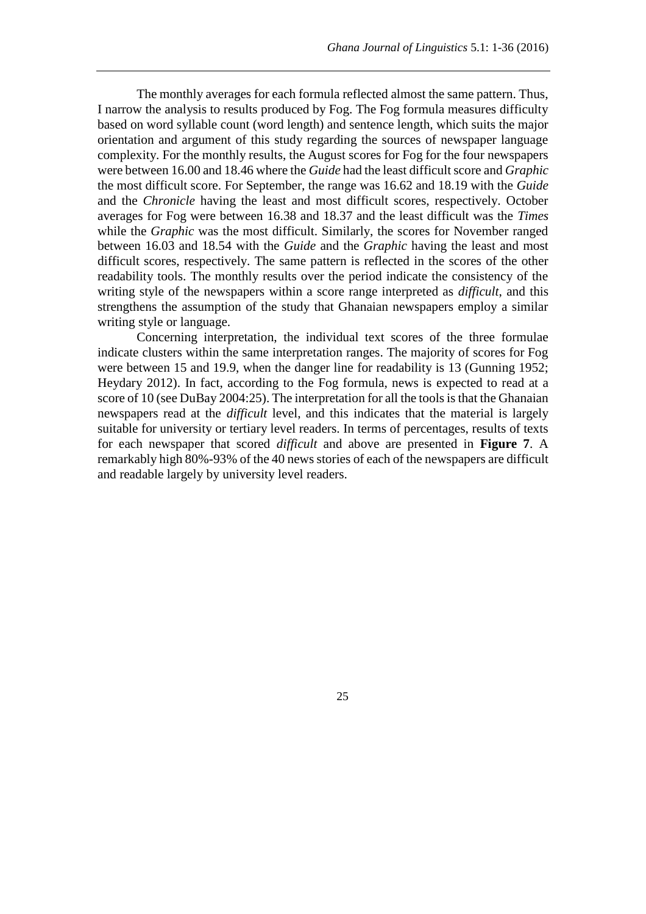The monthly averages for each formula reflected almost the same pattern. Thus, I narrow the analysis to results produced by Fog. The Fog formula measures difficulty based on word syllable count (word length) and sentence length, which suits the major orientation and argument of this study regarding the sources of newspaper language complexity. For the monthly results, the August scores for Fog for the four newspapers were between 16.00 and 18.46 where the *Guide* had the least difficult score and *Graphic* the most difficult score. For September, the range was 16.62 and 18.19 with the *Guide* and the *Chronicle* having the least and most difficult scores, respectively. October averages for Fog were between 16.38 and 18.37 and the least difficult was the *Times* while the *Graphic* was the most difficult. Similarly, the scores for November ranged between 16.03 and 18.54 with the *Guide* and the *Graphic* having the least and most difficult scores, respectively. The same pattern is reflected in the scores of the other readability tools. The monthly results over the period indicate the consistency of the writing style of the newspapers within a score range interpreted as *difficult*, and this strengthens the assumption of the study that Ghanaian newspapers employ a similar writing style or language.

Concerning interpretation, the individual text scores of the three formulae indicate clusters within the same interpretation ranges. The majority of scores for Fog were between 15 and 19.9, when the danger line for readability is 13 (Gunning 1952; Heydary 2012). In fact, according to the Fog formula, news is expected to read at a score of 10 (see DuBay 2004:25). The interpretation for all the tools is that the Ghanaian newspapers read at the *difficult* level, and this indicates that the material is largely suitable for university or tertiary level readers. In terms of percentages, results of texts for each newspaper that scored *difficult* and above are presented in **Figure 7**. A remarkably high 80%-93% of the 40 news stories of each of the newspapers are difficult and readable largely by university level readers.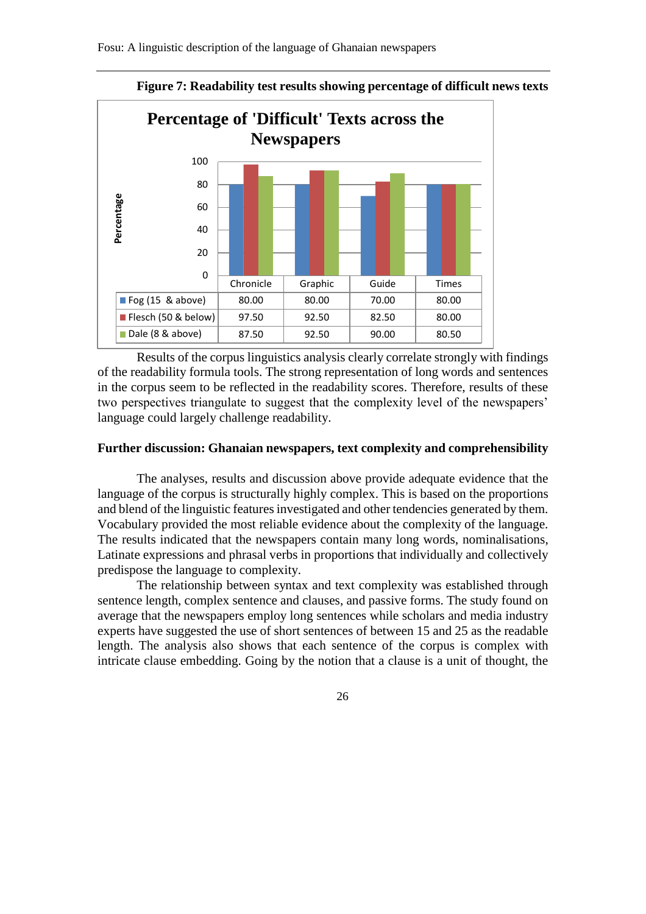

**Figure 7: Readability test results showing percentage of difficult news texts**

Results of the corpus linguistics analysis clearly correlate strongly with findings of the readability formula tools. The strong representation of long words and sentences in the corpus seem to be reflected in the readability scores. Therefore, results of these two perspectives triangulate to suggest that the complexity level of the newspapers' language could largely challenge readability.

## **Further discussion: Ghanaian newspapers, text complexity and comprehensibility**

The analyses, results and discussion above provide adequate evidence that the language of the corpus is structurally highly complex. This is based on the proportions and blend of the linguistic features investigated and other tendencies generated by them. Vocabulary provided the most reliable evidence about the complexity of the language. The results indicated that the newspapers contain many long words, nominalisations, Latinate expressions and phrasal verbs in proportions that individually and collectively predispose the language to complexity.

The relationship between syntax and text complexity was established through sentence length, complex sentence and clauses, and passive forms. The study found on average that the newspapers employ long sentences while scholars and media industry experts have suggested the use of short sentences of between 15 and 25 as the readable length. The analysis also shows that each sentence of the corpus is complex with intricate clause embedding. Going by the notion that a clause is a unit of thought, the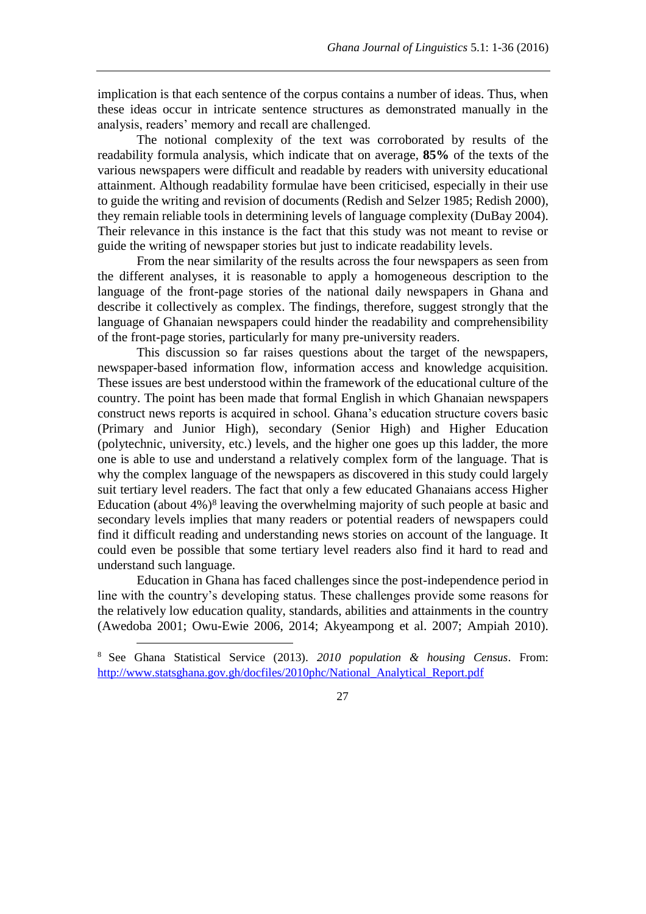implication is that each sentence of the corpus contains a number of ideas. Thus, when these ideas occur in intricate sentence structures as demonstrated manually in the analysis, readers' memory and recall are challenged.

The notional complexity of the text was corroborated by results of the readability formula analysis, which indicate that on average, **85%** of the texts of the various newspapers were difficult and readable by readers with university educational attainment. Although readability formulae have been criticised, especially in their use to guide the writing and revision of documents (Redish and Selzer 1985; Redish 2000), they remain reliable tools in determining levels of language complexity (DuBay 2004). Their relevance in this instance is the fact that this study was not meant to revise or guide the writing of newspaper stories but just to indicate readability levels.

From the near similarity of the results across the four newspapers as seen from the different analyses, it is reasonable to apply a homogeneous description to the language of the front-page stories of the national daily newspapers in Ghana and describe it collectively as complex. The findings, therefore, suggest strongly that the language of Ghanaian newspapers could hinder the readability and comprehensibility of the front-page stories, particularly for many pre-university readers.

This discussion so far raises questions about the target of the newspapers, newspaper-based information flow, information access and knowledge acquisition. These issues are best understood within the framework of the educational culture of the country. The point has been made that formal English in which Ghanaian newspapers construct news reports is acquired in school. Ghana's education structure covers basic (Primary and Junior High), secondary (Senior High) and Higher Education (polytechnic, university, etc.) levels, and the higher one goes up this ladder, the more one is able to use and understand a relatively complex form of the language. That is why the complex language of the newspapers as discovered in this study could largely suit tertiary level readers. The fact that only a few educated Ghanaians access Higher Education (about 4%)<sup>8</sup> leaving the overwhelming majority of such people at basic and secondary levels implies that many readers or potential readers of newspapers could find it difficult reading and understanding news stories on account of the language. It could even be possible that some tertiary level readers also find it hard to read and understand such language.

Education in Ghana has faced challenges since the post-independence period in line with the country's developing status. These challenges provide some reasons for the relatively low education quality, standards, abilities and attainments in the country (Awedoba 2001; Owu-Ewie 2006, 2014; Akyeampong et al. 2007; Ampiah 2010).

 $\overline{a}$ 

<sup>8</sup> See Ghana Statistical Service (2013). *2010 population & housing Census*. From: [http://www.statsghana.gov.gh/docfiles/2010phc/National\\_Analytical\\_Report.pdf](http://www.statsghana.gov.gh/docfiles/2010phc/National_Analytical_Report.pdf)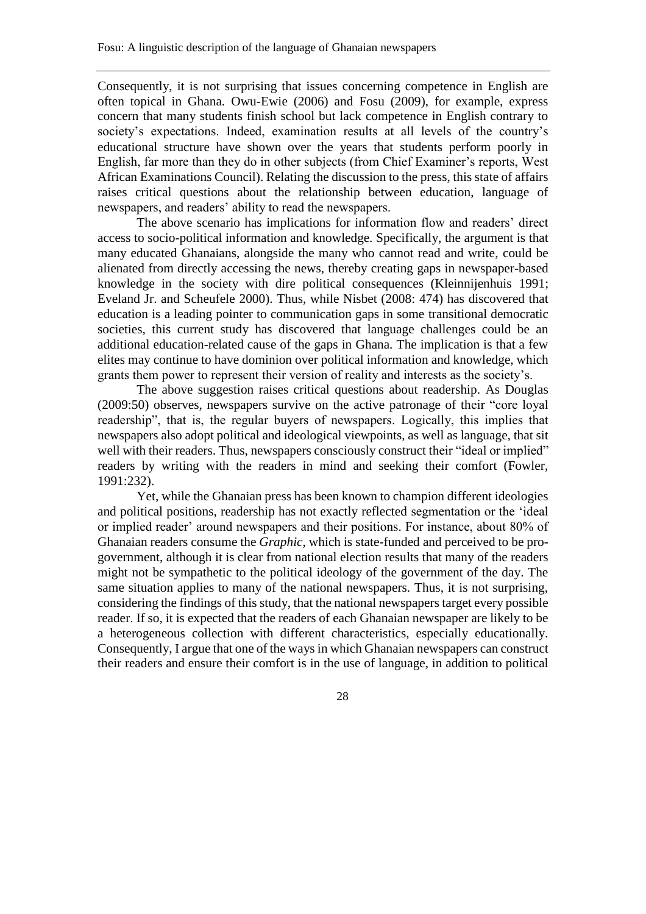Consequently, it is not surprising that issues concerning competence in English are often topical in Ghana. Owu-Ewie (2006) and Fosu (2009), for example, express concern that many students finish school but lack competence in English contrary to society's expectations. Indeed, examination results at all levels of the country's educational structure have shown over the years that students perform poorly in English, far more than they do in other subjects (from Chief Examiner's reports, West African Examinations Council). Relating the discussion to the press, this state of affairs raises critical questions about the relationship between education, language of newspapers, and readers' ability to read the newspapers.

The above scenario has implications for information flow and readers' direct access to socio-political information and knowledge. Specifically, the argument is that many educated Ghanaians, alongside the many who cannot read and write, could be alienated from directly accessing the news, thereby creating gaps in newspaper-based knowledge in the society with dire political consequences (Kleinnijenhuis 1991; Eveland Jr. and Scheufele 2000). Thus, while Nisbet (2008: 474) has discovered that education is a leading pointer to communication gaps in some transitional democratic societies, this current study has discovered that language challenges could be an additional education-related cause of the gaps in Ghana. The implication is that a few elites may continue to have dominion over political information and knowledge, which grants them power to represent their version of reality and interests as the society's.

The above suggestion raises critical questions about readership. As Douglas (2009:50) observes, newspapers survive on the active patronage of their "core loyal readership", that is, the regular buyers of newspapers. Logically, this implies that newspapers also adopt political and ideological viewpoints, as well as language, that sit well with their readers. Thus, newspapers consciously construct their "ideal or implied" readers by writing with the readers in mind and seeking their comfort (Fowler, 1991:232).

Yet, while the Ghanaian press has been known to champion different ideologies and political positions, readership has not exactly reflected segmentation or the 'ideal or implied reader' around newspapers and their positions. For instance, about 80% of Ghanaian readers consume the *Graphic*, which is state-funded and perceived to be progovernment, although it is clear from national election results that many of the readers might not be sympathetic to the political ideology of the government of the day. The same situation applies to many of the national newspapers. Thus, it is not surprising, considering the findings of this study, that the national newspapers target every possible reader. If so, it is expected that the readers of each Ghanaian newspaper are likely to be a heterogeneous collection with different characteristics, especially educationally. Consequently, I argue that one of the ways in which Ghanaian newspapers can construct their readers and ensure their comfort is in the use of language, in addition to political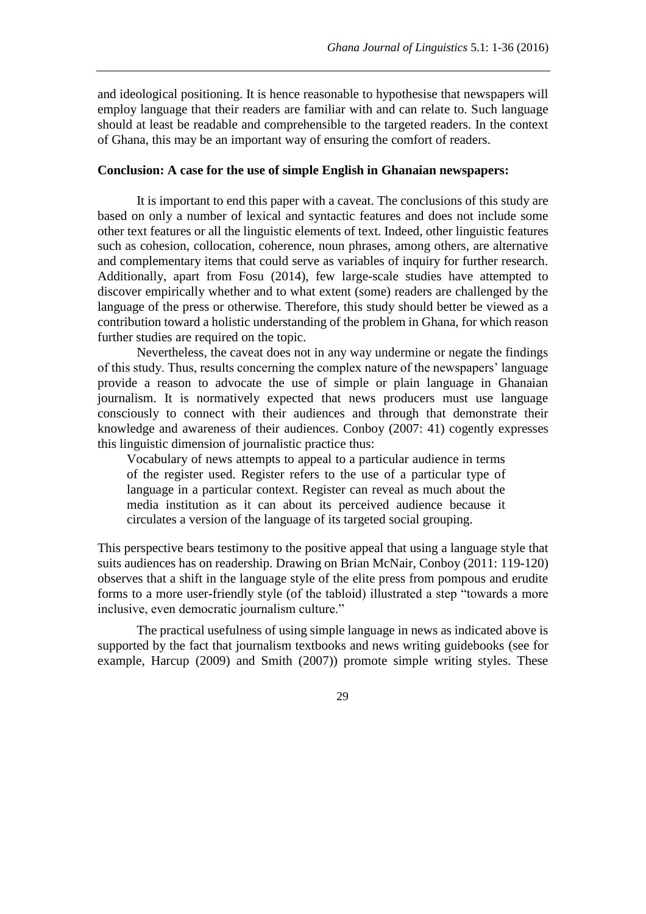and ideological positioning. It is hence reasonable to hypothesise that newspapers will employ language that their readers are familiar with and can relate to. Such language should at least be readable and comprehensible to the targeted readers. In the context of Ghana, this may be an important way of ensuring the comfort of readers.

#### **Conclusion: A case for the use of simple English in Ghanaian newspapers:**

It is important to end this paper with a caveat. The conclusions of this study are based on only a number of lexical and syntactic features and does not include some other text features or all the linguistic elements of text. Indeed, other linguistic features such as cohesion, collocation, coherence, noun phrases, among others, are alternative and complementary items that could serve as variables of inquiry for further research. Additionally, apart from Fosu (2014), few large-scale studies have attempted to discover empirically whether and to what extent (some) readers are challenged by the language of the press or otherwise. Therefore, this study should better be viewed as a contribution toward a holistic understanding of the problem in Ghana, for which reason further studies are required on the topic.

Nevertheless, the caveat does not in any way undermine or negate the findings of this study. Thus, results concerning the complex nature of the newspapers' language provide a reason to advocate the use of simple or plain language in Ghanaian journalism. It is normatively expected that news producers must use language consciously to connect with their audiences and through that demonstrate their knowledge and awareness of their audiences. Conboy (2007: 41) cogently expresses this linguistic dimension of journalistic practice thus:

Vocabulary of news attempts to appeal to a particular audience in terms of the register used. Register refers to the use of a particular type of language in a particular context. Register can reveal as much about the media institution as it can about its perceived audience because it circulates a version of the language of its targeted social grouping.

This perspective bears testimony to the positive appeal that using a language style that suits audiences has on readership. Drawing on Brian McNair, Conboy (2011: 119-120) observes that a shift in the language style of the elite press from pompous and erudite forms to a more user-friendly style (of the tabloid) illustrated a step "towards a more inclusive, even democratic journalism culture."

The practical usefulness of using simple language in news as indicated above is supported by the fact that journalism textbooks and news writing guidebooks (see for example, Harcup (2009) and Smith (2007)) promote simple writing styles. These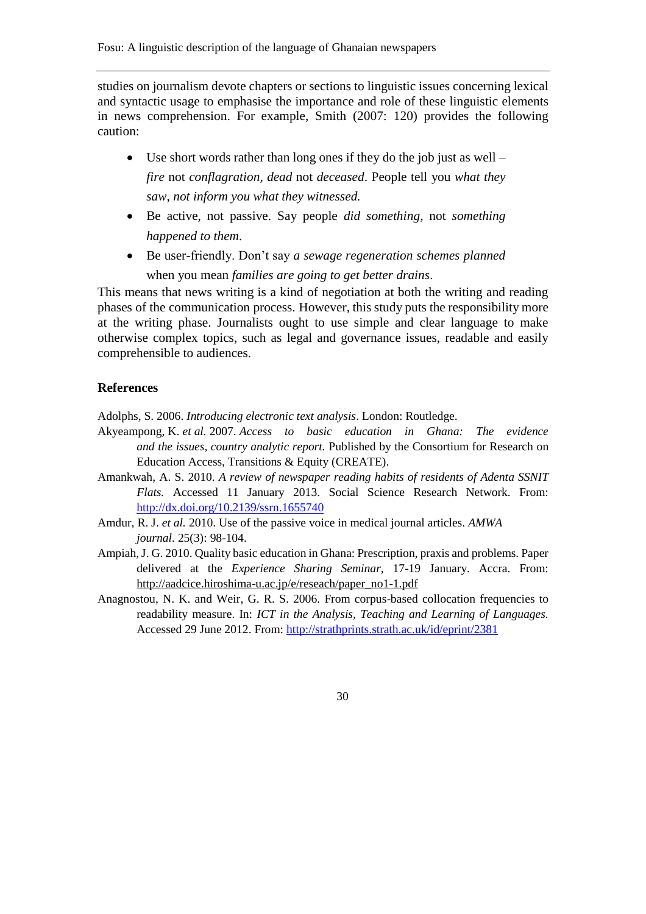studies on journalism devote chapters or sections to linguistic issues concerning lexical and syntactic usage to emphasise the importance and role of these linguistic elements in news comprehension. For example, Smith (2007: 120) provides the following caution:

- Use short words rather than long ones if they do the job just as well *fire* not *conflagration, dead* not *deceased*. People tell you *what they saw*, *not inform you what they witnessed.*
- Be active, not passive. Say people *did something*, not *something happened to them*.
- Be user-friendly. Don't say *a sewage regeneration schemes planned* when you mean *families are going to get better drains*.

This means that news writing is a kind of negotiation at both the writing and reading phases of the communication process. However, this study puts the responsibility more at the writing phase. Journalists ought to use simple and clear language to make otherwise complex topics, such as legal and governance issues, readable and easily comprehensible to audiences.

# **References**

Adolphs, S. 2006. *Introducing electronic text analysis*. London: Routledge.

- Akyeampong, K. *et al.* 2007. *Access to basic education in Ghana: The evidence and the issues, country analytic report.* Published by the Consortium for Research on Education Access, Transitions & Equity (CREATE).
- Amankwah, A. S. 2010. *A review of newspaper reading habits of residents of Adenta SSNIT Flats.* Accessed 11 January 2013. Social Science Research Network. From: <http://dx.doi.org/10.2139/ssrn.1655740>
- Amdur, R. J. *et al.* 2010. Use of the passive voice in medical journal articles. *AMWA journal*. 25(3): 98-104.
- Ampiah, J. G. 2010. Quality basic education in Ghana: Prescription, praxis and problems. Paper delivered at the *Experience Sharing Seminar*, 17-19 January. Accra. From: http://aadcice.hiroshima-u.ac.jp/e/reseach/paper\_no1-1.pdf
- Anagnostou, N. K. and Weir, G. R. S. 2006. From corpus-based collocation frequencies to readability measure. In: *ICT in the Analysis, Teaching and Learning of Languages.* Accessed 29 June 2012. From:<http://strathprints.strath.ac.uk/id/eprint/2381>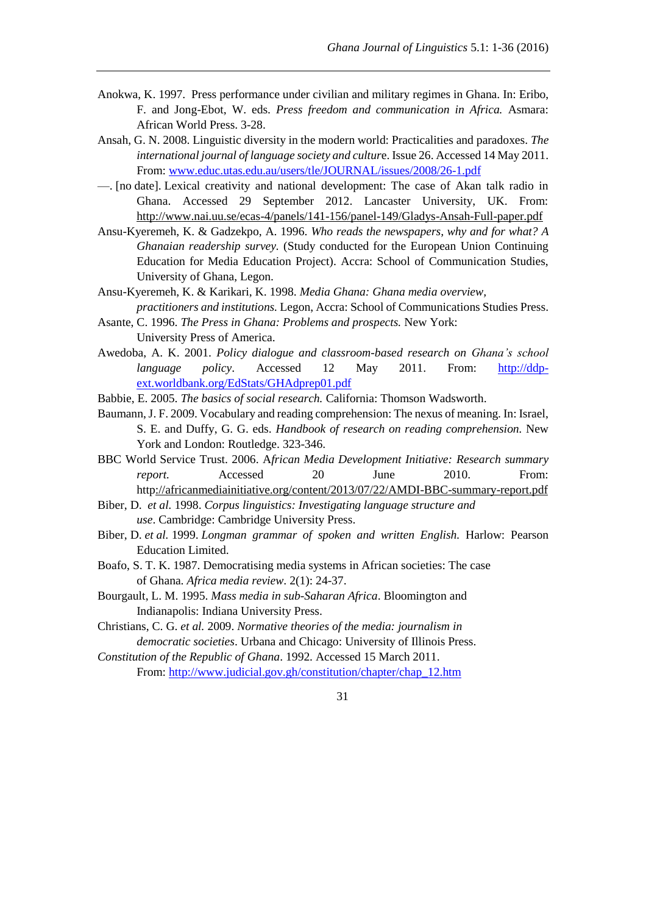- Anokwa, K. 1997. Press performance under civilian and military regimes in Ghana. In: Eribo, F. and Jong-Ebot, W. eds. *Press freedom and communication in Africa.* Asmara: African World Press. 3-28.
- Ansah, G. N. 2008. Linguistic diversity in the modern world: Practicalities and paradoxes. *The international journal of language society and cultur*e. Issue 26. Accessed 14 May 2011. From: [www.educ.utas.edu.au/users/tle/JOURNAL/issues/2008/26-1.pdf](http://www.educ.utas.edu.au/users/tle/JOURNAL/issues/2008/26-1.pdf)
- —. [no date]. Lexical creativity and national development: The case of Akan talk radio in Ghana. Accessed 29 September 2012. Lancaster University, UK. From: http://www.nai.uu.se/ecas-4/panels/141-156/panel-149/Gladys-Ansah-Full-paper.pdf
- Ansu-Kyeremeh, K. & Gadzekpo, A. 1996. *Who reads the newspapers, why and for what? A Ghanaian readership survey.* (Study conducted for the European Union Continuing Education for Media Education Project). Accra: School of Communication Studies, University of Ghana, Legon.
- Ansu-Kyeremeh, K. & Karikari, K. 1998. *Media Ghana: Ghana media overview, practitioners and institutions.* Legon, Accra: School of Communications Studies Press.
- Asante, C. 1996. *The Press in Ghana: Problems and prospects.* New York: University Press of America.
- Awedoba, A. K. 2001. *Policy dialogue and classroom-based research on Ghana's school language policy*. Accessed 12 May 2011. From: [http://ddp](http://ddp-ext.worldbank.org/EdStats/GHAdprep01.pdf)[ext.worldbank.org/EdStats/GHAdprep01.pdf](http://ddp-ext.worldbank.org/EdStats/GHAdprep01.pdf)
- Babbie, E. 2005. *The basics of social research.* California: Thomson Wadsworth.
- Baumann, J. F. 2009. Vocabulary and reading comprehension: The nexus of meaning. In: Israel, S. E. and Duffy, G. G. eds. *Handbook of research on reading comprehension.* New York and London: Routledge. 323-346.
- BBC World Service Trust. 2006. A*frican Media Development Initiative: Research summary report.* Accessed 20 June 2010. From: http://africanmediainitiative.org/content/2013/07/22/AMDI-BBC-summary-report.pdf
- Biber, D. *et al.* 1998. *Corpus linguistics: Investigating language structure and use*. Cambridge: Cambridge University Press.
- Biber, D. *et al.* 1999. *Longman grammar of spoken and written English.* Harlow: Pearson Education Limited.
- Boafo, S. T. K. 1987. Democratising media systems in African societies: The case of Ghana. *Africa media review*. 2(1): 24-37.
- Bourgault, L. M. 1995. *Mass media in sub-Saharan Africa*. Bloomington and Indianapolis: Indiana University Press.
- Christians, C. G. *et al.* 2009. *Normative theories of the media: journalism in democratic societies*. Urbana and Chicago: University of Illinois Press.
- *Constitution of the Republic of Ghana*. 1992. Accessed 15 March 2011. From: [http://www.judicial.gov.gh/constitution/chapter/chap\\_12.htm](http://www.judicial.gov.gh/constitution/chapter/chap_12.htm)
	- 31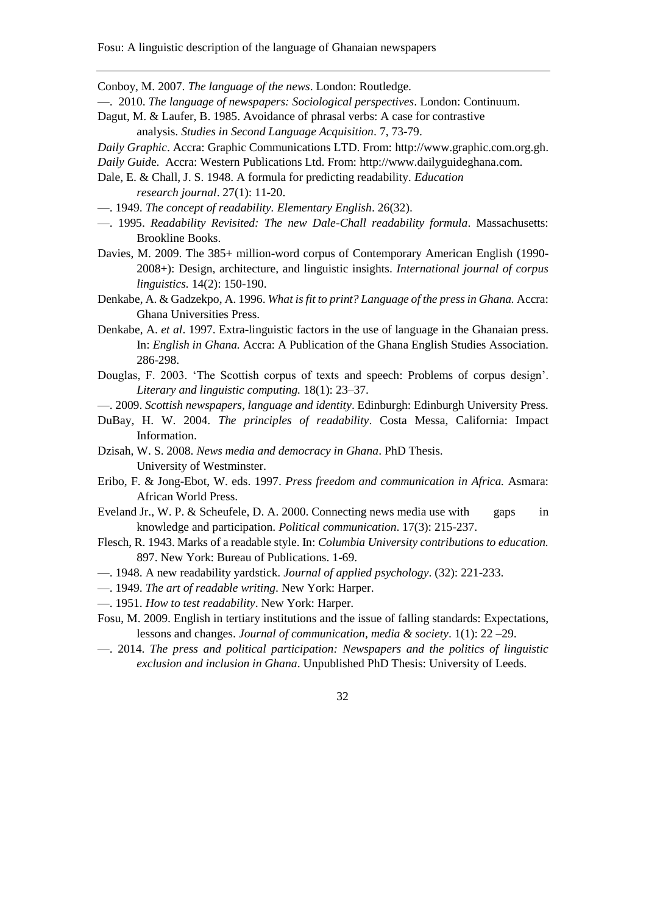Conboy, M. 2007. *The language of the news*. London: Routledge.

—. 2010. *The language of newspapers: Sociological perspectives*. London: Continuum.

- Dagut, M. & Laufer, B. 1985. Avoidance of phrasal verbs: A case for contrastive analysis. *Studies in Second Language Acquisition*. 7, 73-79.
- *Daily Graphic*. Accra: Graphic Communications LTD. From: http:/[/www.graphic.com.org.gh.](http://www.graphic.com.org.gh/)

*Daily Guid*e. Accra: Western Publications Ltd. From: http://www.dailyguideghana.com.

- Dale, E. & Chall, J. S. 1948. A formula for predicting readability. *Education research journal*. 27(1): 11-20.
- —. 1949. *The concept of readability. Elementary English*. 26(32).
- —. 1995. *Readability Revisited: The new Dale-Chall readability formula*. Massachusetts: Brookline Books.
- Davies, M. 2009. The 385+ million-word corpus of Contemporary American English (1990- 2008+): Design, architecture, and linguistic insights. *International journal of corpus linguistics.* 14(2): 150-190.
- Denkabe, A. & Gadzekpo, A. 1996. *What is fit to print? Language of the press in Ghana.* Accra: Ghana Universities Press.
- Denkabe, A. *et al*. 1997. Extra-linguistic factors in the use of language in the Ghanaian press. In: *English in Ghana.* Accra: A Publication of the Ghana English Studies Association. 286-298.
- Douglas, F. 2003. 'The Scottish corpus of texts and speech: Problems of corpus design'. *Literary and linguistic computing.* 18(1): 23–37.

—. 2009. *Scottish newspapers, language and identity*. Edinburgh: Edinburgh University Press.

- DuBay, H. W. 2004. *The principles of readability*. Costa Messa, California: Impact Information.
- Dzisah, W. S. 2008. *News media and democracy in Ghana*. PhD Thesis. University of Westminster.
- Eribo, F. & Jong-Ebot, W. eds. 1997. *Press freedom and communication in Africa.* Asmara: African World Press.
- Eveland Jr., W. P. & Scheufele, D. A. 2000. Connecting news media use with gaps in knowledge and participation. *Political communication*. 17(3): 215-237.
- Flesch, R. 1943. Marks of a readable style. In: *Columbia University contributions to education.* 897. New York: Bureau of Publications. 1-69.
- —. 1948. A new readability yardstick. *Journal of applied psychology*. (32): 221-233.
- —. 1949. *The art of readable writing*. New York: Harper.
- —. 1951. *How to test readability*. New York: Harper.
- Fosu, M. 2009. English in tertiary institutions and the issue of falling standards: Expectations, lessons and changes. *Journal of communication, media & society*. 1(1): 22 –29.
- —. 2014. *The press and political participation: Newspapers and the politics of linguistic exclusion and inclusion in Ghana*. Unpublished PhD Thesis: University of Leeds.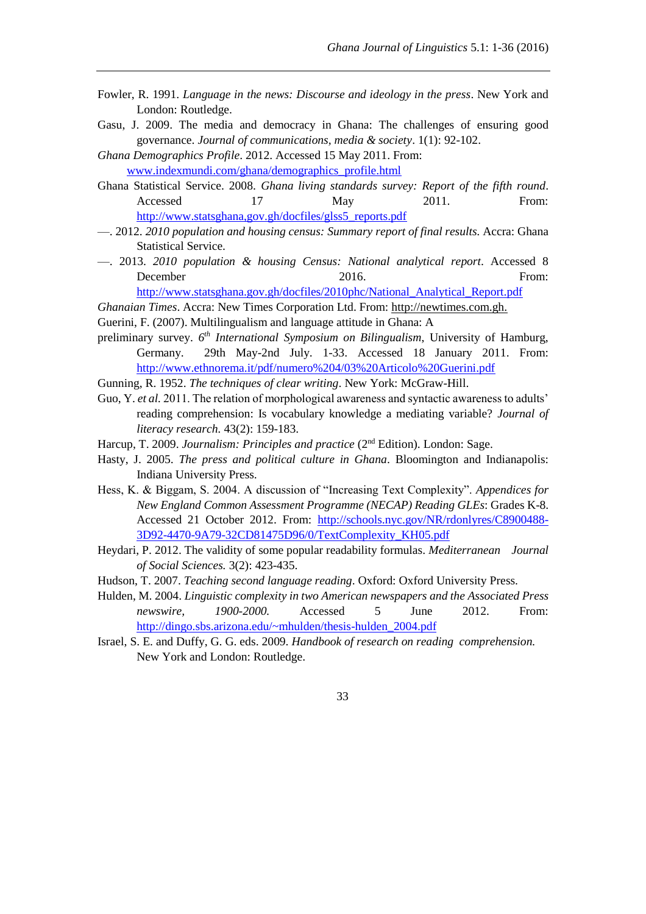- Fowler, R. 1991. *Language in the news: Discourse and ideology in the press*. New York and London: Routledge.
- Gasu, J. 2009. The media and democracy in Ghana: The challenges of ensuring good governance. *Journal of communications, media & society*. 1(1): 92-102.
- *Ghana Demographics Profile*. 2012. Accessed 15 May 2011. From: [www.indexmundi.com/ghana/demographics\\_profile.html](http://www.indexmundi.com/ghana/demographics_profile.html)
- Ghana Statistical Service. 2008. *Ghana living standards survey: Report of the fifth round*. Accessed 17 May 2011. From: [http://www.statsghana,gov.gh/docfiles/glss5\\_reports.pdf](http://www.statsghana,gov.gh/docfiles/glss5_reports.pdf)
- —. 2012. *2010 population and housing census: Summary report of final results.* Accra: Ghana Statistical Service.
- —. 2013. *2010 population & housing Census: National analytical report*. Accessed 8 December 2016. From:

[http://www.statsghana.gov.gh/docfiles/2010phc/National\\_Analytical\\_Report.pdf](http://www.statsghana.gov.gh/docfiles/2010phc/National_Analytical_Report.pdf)

*Ghanaian Times*. Accra: New Times Corporation Ltd. From: http://newtimes.com.gh.

Guerini, F. (2007). Multilingualism and language attitude in Ghana: A

- preliminary survey. *6 th International Symposium on Bilingualism*, University of Hamburg, Germany. 29th May-2nd July. 1-33. Accessed 18 January 2011. From: <http://www.ethnorema.it/pdf/numero%204/03%20Articolo%20Guerini.pdf>
- Gunning, R. 1952. *The techniques of clear writing*. New York: McGraw-Hill.
- Guo, Y. *et al.* 2011. The relation of morphological awareness and syntactic awareness to adults' reading comprehension: Is vocabulary knowledge a mediating variable? *Journal of literacy research.* 43(2): 159-183.
- Harcup, T. 2009. *Journalism: Principles and practice* (2nd Edition). London: Sage.
- Hasty, J. 2005. *The press and political culture in Ghana*. Bloomington and Indianapolis: Indiana University Press.
- Hess, K. & Biggam, S. 2004. A discussion of "Increasing Text Complexity". *Appendices for New England Common Assessment Programme (NECAP) Reading GLEs*: Grades K-8. Accessed 21 October 2012. From: [http://schools.nyc.gov/NR/rdonlyres/C8900488-](http://schools.nyc.gov/NR/rdonlyres/C8900488-3D92-4470-9A79-32CD81475D96/0/TextComplexity_KH05.pdf) [3D92-4470-9A79-32CD81475D96/0/TextComplexity\\_KH05.pdf](http://schools.nyc.gov/NR/rdonlyres/C8900488-3D92-4470-9A79-32CD81475D96/0/TextComplexity_KH05.pdf)
- Heydari, P. 2012. The validity of some popular readability formulas. *Mediterranean Journal of Social Sciences.* 3(2): 423-435.
- Hudson, T. 2007. *Teaching second language reading*. Oxford: Oxford University Press.
- Hulden, M. 2004. *Linguistic complexity in two American newspapers and the Associated Press newswire, 1900-2000.* Accessed 5 June 2012. From: [http://dingo.sbs.arizona.edu/~mhulden/thesis-hulden\\_2004.pdf](http://dingo.sbs.arizona.edu/~mhulden/thesis-hulden_2004.pdf)
- Israel, S. E. and Duffy, G. G. eds. 2009. *Handbook of research on reading comprehension.* New York and London: Routledge.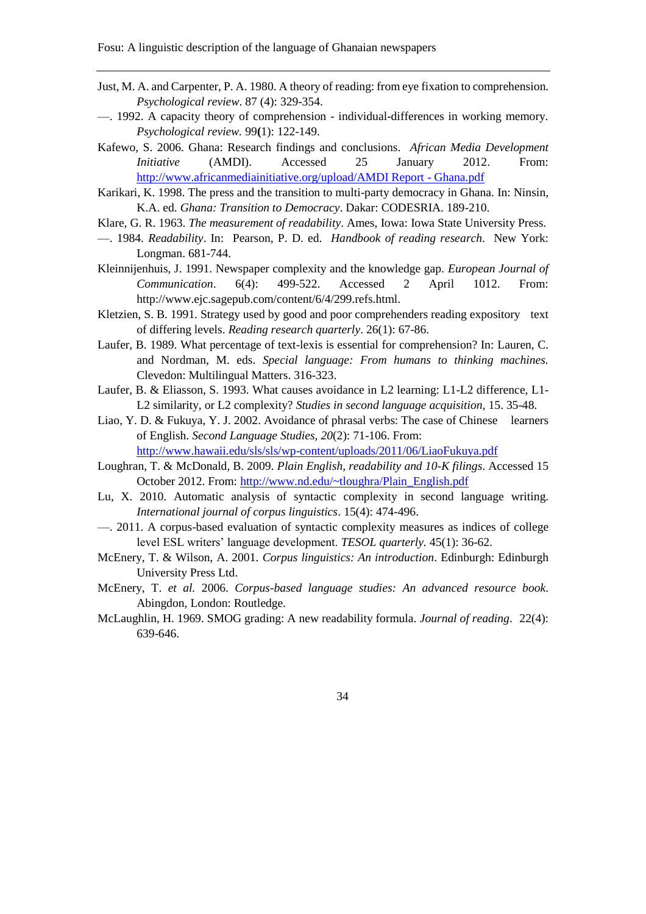- Just, M. A. and Carpenter, P. A. 1980. A theory of reading: from eye fixation to comprehension. *Psychological review*. 87 (4): 329-354.
- —. 1992. A capacity theory of comprehension individual-differences in working memory. *Psychological review.* 99**(**1): 122-149.
- Kafewo, S. 2006. Ghana: Research findings and conclusions. *African Media Development Initiative* (AMDI). Accessed 25 January 2012. From: [http://www.africanmediainitiative.org/upload/AMDI Report -](http://www.africanmediainitiative.org/upload/AMDI%20Report%20-%20Ghana.pdf) Ghana.pdf
- Karikari, K. 1998. The press and the transition to multi-party democracy in Ghana. In: Ninsin, K.A. ed. *Ghana: Transition to Democracy*. Dakar: CODESRIA. 189-210.
- Klare, G. R. 1963. *The measurement of readability*. Ames, Iowa: Iowa State University Press.
- —. 1984. *Readability*. In: Pearson, P. D. ed. *Handbook of reading research*. New York: Longman. 681-744.
- Kleinnijenhuis, J. 1991. Newspaper complexity and the knowledge gap. *European Journal of Communication*. 6(4): 499-522. Accessed 2 April 1012. From: http://www.ejc.sagepub.com/content/6/4/299.refs.html.
- Kletzien, S. B. 1991. Strategy used by good and poor comprehenders reading expository text of differing levels. *Reading research quarterly*. 26(1): 67-86.
- Laufer, B. 1989. What percentage of text-lexis is essential for comprehension? In: Lauren, C. and Nordman, M. eds. *Special language: From humans to thinking machines.* Clevedon: Multilingual Matters. 316-323.
- Laufer, B. & Eliasson, S. 1993. What causes avoidance in L2 learning: L1-L2 difference, L1- L2 similarity, or L2 complexity? *Studies in second language acquisition,* 15. 35-48.
- Liao, Y. D. & Fukuya, Y. J. 2002. Avoidance of phrasal verbs: The case of Chinese learners of English. *Second Language Studies, 20*(2): 71-106. From: <http://www.hawaii.edu/sls/sls/wp-content/uploads/2011/06/LiaoFukuya.pdf>
- Loughran, T. & McDonald, B. 2009. *Plain English, readability and 10-K filings*. Accessed 15 October 2012. From: [http://www.nd.edu/~tloughra/Plain\\_English.pdf](http://www.nd.edu/~tloughra/Plain_English.pdf)
- Lu, X. 2010. Automatic analysis of syntactic complexity in second language writing. *International journal of corpus linguistics*. 15(4): 474-496.
- —. 2011. A corpus-based evaluation of syntactic complexity measures as indices of college level ESL writers' language development. *TESOL quarterly.* 45(1): 36-62.
- McEnery, T. & Wilson, A. 2001. *Corpus linguistics: An introduction*. Edinburgh: Edinburgh University Press Ltd.
- McEnery, T. *et al.* 2006. *Corpus-based language studies: An advanced resource book*. Abingdon, London: Routledge.
- McLaughlin, H. 1969. SMOG grading: A new readability formula*. Journal of reading*. 22(4): 639-646.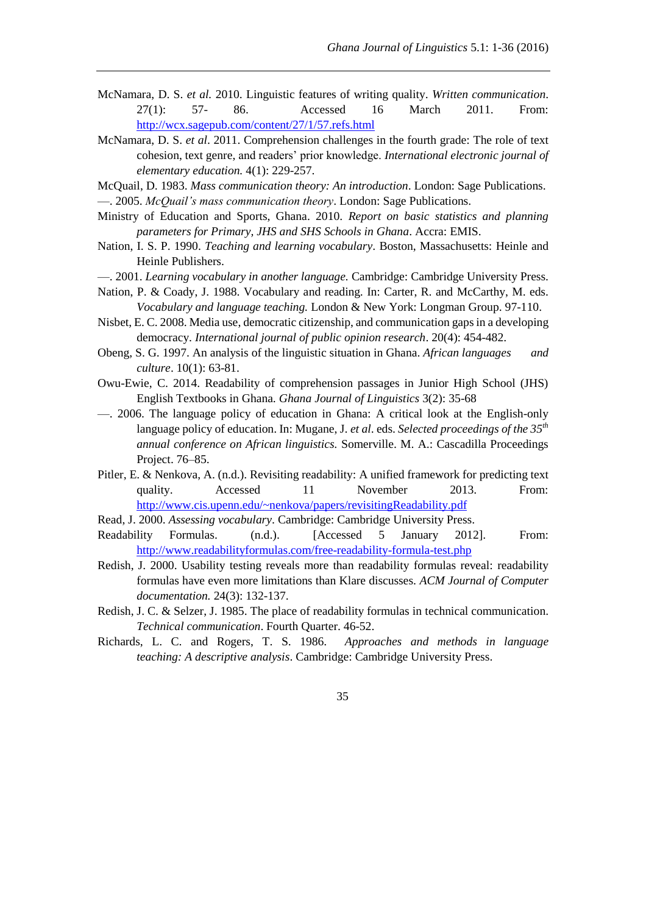- McNamara, D. S. *et al.* 2010. Linguistic features of writing quality. *Written communication*. 27(1): 57- 86. Accessed 16 March 2011. From: <http://wcx.sagepub.com/content/27/1/57.refs.html>
- McNamara, D. S. *et al*. 2011. Comprehension challenges in the fourth grade: The role of text cohesion, text genre, and readers' prior knowledge. *International electronic journal of elementary education.* 4(1): 229-257.
- McQuail, D. 1983. *Mass communication theory: An introduction*. London: Sage Publications.

—. 2005. *McQuail's mass communication theory*. London: Sage Publications.

- Ministry of Education and Sports, Ghana. 2010. *Report on basic statistics and planning parameters for Primary, JHS and SHS Schools in Ghana*. Accra: EMIS.
- Nation, I. S. P. 1990. *Teaching and learning vocabulary*. Boston, Massachusetts: Heinle and Heinle Publishers.
- —. 2001. *Learning vocabulary in another language.* Cambridge: Cambridge University Press.
- Nation, P. & Coady, J. 1988. Vocabulary and reading. In: Carter, R. and McCarthy, M. eds. *Vocabulary and language teaching.* London & New York: Longman Group. 97-110.
- Nisbet, E. C. 2008. Media use, democratic citizenship, and communication gaps in a developing democracy. *International journal of public opinion research*. 20(4): 454-482.
- Obeng, S. G. 1997. An analysis of the linguistic situation in Ghana. *African languages and culture*. 10(1): 63-81.
- Owu-Ewie, C. 2014. Readability of comprehension passages in Junior High School (JHS) English Textbooks in Ghana. *Ghana Journal of Linguistics* 3(2): 35-68
- —. 2006. The language policy of education in Ghana: A critical look at the English-only language policy of education. In: Mugane, J. *et al*. eds. *Selected proceedings of the 35th annual conference on African linguistics.* Somerville. M. A.: Cascadilla Proceedings Project. 76–85.
- Pitler, E. & Nenkova, A. (n.d.). Revisiting readability: A unified framework for predicting text quality. Accessed 11 November 2013. From: <http://www.cis.upenn.edu/~nenkova/papers/revisitingReadability.pdf>
- Read, J. 2000. *Assessing vocabulary*. Cambridge: Cambridge University Press.
- Readability Formulas. (n.d.). [Accessed 5 January 2012]. From: <http://www.readabilityformulas.com/free-readability-formula-test.php>
- Redish, J. 2000. Usability testing reveals more than readability formulas reveal: readability formulas have even more limitations than Klare discusses. *ACM Journal of Computer documentation.* 24(3): 132-137.
- Redish, J. C. & Selzer, J. 1985. The place of readability formulas in technical communication. *Technical communication*. Fourth Quarter. 46-52.
- Richards, L. C. and Rogers, T. S. 1986. *Approaches and methods in language teaching: A descriptive analysis*. Cambridge: Cambridge University Press.